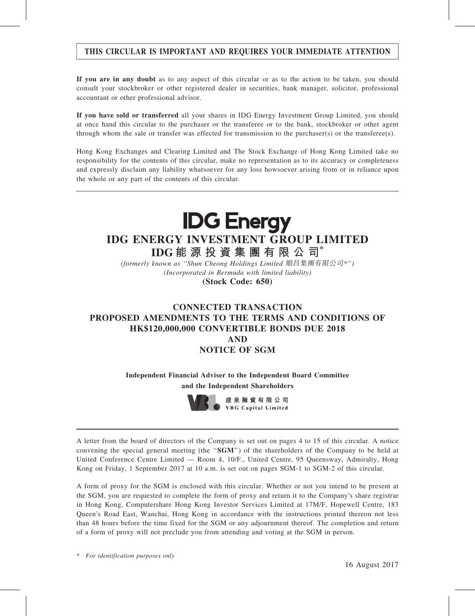### THIS CIRCULAR IS IMPORTANT AND REQUIRES YOUR IMMEDIATE ATTENTION

If you are in any doubt as to any aspect of this circular or as to the action to be taken, you should consult your stockbroker or other registered dealer in securities, bank manager, solicitor, professional accountant or other professional advisor.

If you have sold or transferred all your shares in IDG Energy Investment Group Limited, you should at once hand this circular to the purchaser or the transferee or to the bank, stockbroker or other agent through whom the sale or transfer was effected for transmission to the purchaser(s) or the transferee(s).

Hong Kong Exchanges and Clearing Limited and The Stock Exchange of Hong Kong Limited take no responsibility for the contents of this circular, make no representation as to its accuracy or completeness and expressly disclaim any liability whatsoever for any loss howsoever arising from or in reliance upon the whole or any part of the contents of this circular.



## IDG ENERGY INVESTMENT GROUP LIMITED

IDG 能 源 投 資 集 團 有 限 公 司 (formerly known as ''Shun Cheong Holdings Limited 順昌集團有限公司\*'')

(Incorporated in Bermuda with limited liability) (Stock Code: 650)

### CONNECTED TRANSACTION PROPOSED AMENDMENTS TO THE TERMS AND CONDITIONS OF HK\$120,000,000 CONVERTIBLE BONDS DUE 2018 AND NOTICE OF SGM

Independent Financial Adviser to the Independent Board Committee and the Independent Shareholders



建泉融資有限公司 **VBG Capital Limited** 

A letter from the board of directors of the Company is set out on pages 4 to 15 of this circular. A notice convening the special general meeting (the "SGM") of the shareholders of the Company to be held at United Conference Centre Limited — Room 4, 10/F., United Centre, 95 Queensway, Admiralty, Hong Kong on Friday, 1 September 2017 at 10 a.m. is set out on pages SGM-1 to SGM-2 of this circular.

A form of proxy for the SGM is enclosed with this circular. Whether or not you intend to be present at the SGM, you are requested to complete the form of proxy and return it to the Company's share registrar in Hong Kong, Computershare Hong Kong Investor Services Limited at 17M/F, Hopewell Centre, 183 Queen's Road East, Wanchai, Hong Kong in accordance with the instructions printed thereon not less than 48 hours before the time fixed for the SGM or any adjournment thereof. The completion and return of a form of proxy will not preclude you from attending and voting at the SGM in person.

\* For identification purposes only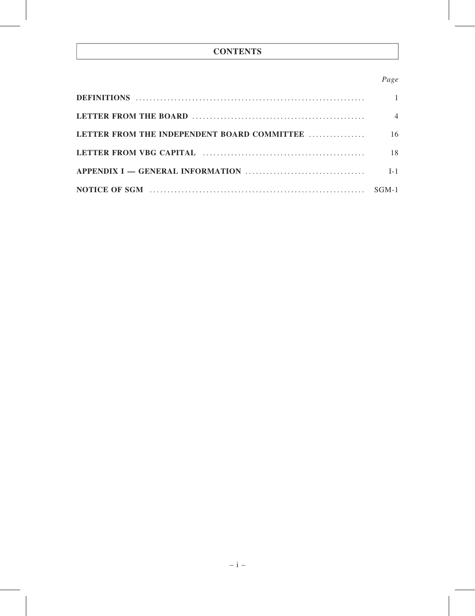### **CONTENTS**

#### Page

|                                             | $\overline{4}$ |
|---------------------------------------------|----------------|
| LETTER FROM THE INDEPENDENT BOARD COMMITTEE | 16             |
|                                             | 18             |
|                                             | $I-1$          |
|                                             |                |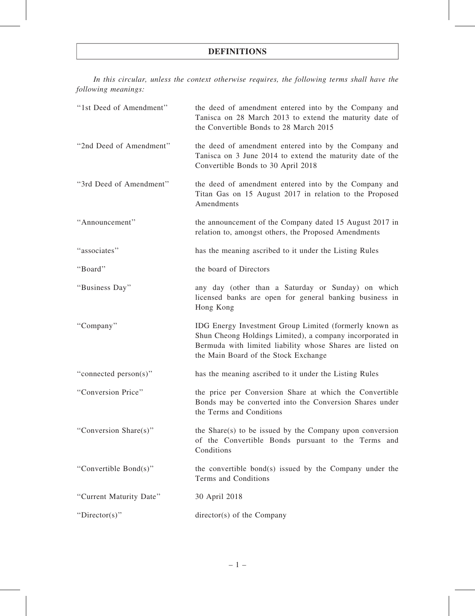#### DEFINITIONS

In this circular, unless the context otherwise requires, the following terms shall have the following meanings:

| "1st Deed of Amendment" | the deed of amendment entered into by the Company and<br>Tanisca on 28 March 2013 to extend the maturity date of<br>the Convertible Bonds to 28 March 2015                                                              |
|-------------------------|-------------------------------------------------------------------------------------------------------------------------------------------------------------------------------------------------------------------------|
| "2nd Deed of Amendment" | the deed of amendment entered into by the Company and<br>Tanisca on 3 June 2014 to extend the maturity date of the<br>Convertible Bonds to 30 April 2018                                                                |
| "3rd Deed of Amendment" | the deed of amendment entered into by the Company and<br>Titan Gas on 15 August 2017 in relation to the Proposed<br>Amendments                                                                                          |
| "Announcement"          | the announcement of the Company dated 15 August 2017 in<br>relation to, amongst others, the Proposed Amendments                                                                                                         |
| "associates"            | has the meaning ascribed to it under the Listing Rules                                                                                                                                                                  |
| "Board"                 | the board of Directors                                                                                                                                                                                                  |
| "Business Day"          | any day (other than a Saturday or Sunday) on which<br>licensed banks are open for general banking business in<br>Hong Kong                                                                                              |
| "Company"               | IDG Energy Investment Group Limited (formerly known as<br>Shun Cheong Holdings Limited), a company incorporated in<br>Bermuda with limited liability whose Shares are listed on<br>the Main Board of the Stock Exchange |
| "connected person(s)"   | has the meaning ascribed to it under the Listing Rules                                                                                                                                                                  |
| "Conversion Price"      | the price per Conversion Share at which the Convertible<br>Bonds may be converted into the Conversion Shares under<br>the Terms and Conditions                                                                          |
| "Conversion Share(s)"   | the Share $(s)$ to be issued by the Company upon conversion<br>of the Convertible Bonds pursuant to the Terms and<br>Conditions                                                                                         |
| "Convertible Bond(s)"   | the convertible bond(s) issued by the Company under the<br>Terms and Conditions                                                                                                                                         |
| "Current Maturity Date" | 30 April 2018                                                                                                                                                                                                           |
| " $Directory$ "         | director(s) of the Company                                                                                                                                                                                              |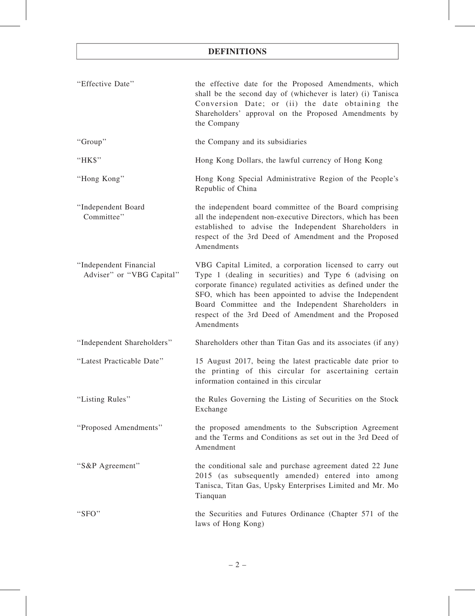### DEFINITIONS

| "Effective Date"                                    | the effective date for the Proposed Amendments, which<br>shall be the second day of (whichever is later) (i) Tanisca<br>Conversion Date; or (ii) the date obtaining the<br>Shareholders' approval on the Proposed Amendments by<br>the Company                                                                                                                              |
|-----------------------------------------------------|-----------------------------------------------------------------------------------------------------------------------------------------------------------------------------------------------------------------------------------------------------------------------------------------------------------------------------------------------------------------------------|
| "Group"                                             | the Company and its subsidiaries                                                                                                                                                                                                                                                                                                                                            |
| "HK\$"                                              | Hong Kong Dollars, the lawful currency of Hong Kong                                                                                                                                                                                                                                                                                                                         |
| "Hong Kong"                                         | Hong Kong Special Administrative Region of the People's<br>Republic of China                                                                                                                                                                                                                                                                                                |
| "Independent Board<br>Committee"                    | the independent board committee of the Board comprising<br>all the independent non-executive Directors, which has been<br>established to advise the Independent Shareholders in<br>respect of the 3rd Deed of Amendment and the Proposed<br>Amendments                                                                                                                      |
| "Independent Financial<br>Adviser" or "VBG Capital" | VBG Capital Limited, a corporation licensed to carry out<br>Type 1 (dealing in securities) and Type 6 (advising on<br>corporate finance) regulated activities as defined under the<br>SFO, which has been appointed to advise the Independent<br>Board Committee and the Independent Shareholders in<br>respect of the 3rd Deed of Amendment and the Proposed<br>Amendments |
| "Independent Shareholders"                          | Shareholders other than Titan Gas and its associates (if any)                                                                                                                                                                                                                                                                                                               |
| "Latest Practicable Date"                           | 15 August 2017, being the latest practicable date prior to<br>the printing of this circular for ascertaining certain<br>information contained in this circular                                                                                                                                                                                                              |
| "Listing Rules"                                     | the Rules Governing the Listing of Securities on the Stock<br>Exchange                                                                                                                                                                                                                                                                                                      |
| "Proposed Amendments"                               | the proposed amendments to the Subscription Agreement<br>and the Terms and Conditions as set out in the 3rd Deed of<br>Amendment                                                                                                                                                                                                                                            |
| "S&P Agreement"                                     | the conditional sale and purchase agreement dated 22 June<br>2015 (as subsequently amended) entered into among<br>Tanisca, Titan Gas, Upsky Enterprises Limited and Mr. Mo<br>Tianquan                                                                                                                                                                                      |
| "SFO"                                               | the Securities and Futures Ordinance (Chapter 571 of the<br>laws of Hong Kong)                                                                                                                                                                                                                                                                                              |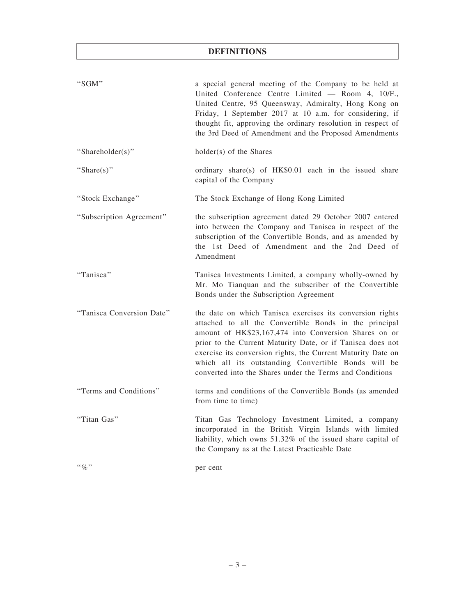### DEFINITIONS

| "SGM"                     | a special general meeting of the Company to be held at<br>United Conference Centre Limited - Room 4, 10/F.,<br>United Centre, 95 Queensway, Admiralty, Hong Kong on<br>Friday, 1 September 2017 at 10 a.m. for considering, if<br>thought fit, approving the ordinary resolution in respect of<br>the 3rd Deed of Amendment and the Proposed Amendments                                                                       |
|---------------------------|-------------------------------------------------------------------------------------------------------------------------------------------------------------------------------------------------------------------------------------------------------------------------------------------------------------------------------------------------------------------------------------------------------------------------------|
| "Shareholder(s)"          | holder(s) of the Shares                                                                                                                                                                                                                                                                                                                                                                                                       |
| "Share $(s)$ "            | ordinary share(s) of $HK$0.01$ each in the issued share<br>capital of the Company                                                                                                                                                                                                                                                                                                                                             |
| "Stock Exchange"          | The Stock Exchange of Hong Kong Limited                                                                                                                                                                                                                                                                                                                                                                                       |
| "Subscription Agreement"  | the subscription agreement dated 29 October 2007 entered<br>into between the Company and Tanisca in respect of the<br>subscription of the Convertible Bonds, and as amended by<br>the 1st Deed of Amendment and the 2nd Deed of<br>Amendment                                                                                                                                                                                  |
| "Tanisca"                 | Tanisca Investments Limited, a company wholly-owned by<br>Mr. Mo Tianquan and the subscriber of the Convertible<br>Bonds under the Subscription Agreement                                                                                                                                                                                                                                                                     |
| "Tanisca Conversion Date" | the date on which Tanisca exercises its conversion rights<br>attached to all the Convertible Bonds in the principal<br>amount of HK\$23,167,474 into Conversion Shares on or<br>prior to the Current Maturity Date, or if Tanisca does not<br>exercise its conversion rights, the Current Maturity Date on<br>which all its outstanding Convertible Bonds will be<br>converted into the Shares under the Terms and Conditions |
| "Terms and Conditions"    | terms and conditions of the Convertible Bonds (as amended<br>from time to time)                                                                                                                                                                                                                                                                                                                                               |
| "Titan Gas"               | Titan Gas Technology Investment Limited, a company<br>incorporated in the British Virgin Islands with limited<br>liability, which owns 51.32% of the issued share capital of<br>the Company as at the Latest Practicable Date                                                                                                                                                                                                 |
| $``\%"$                   | per cent                                                                                                                                                                                                                                                                                                                                                                                                                      |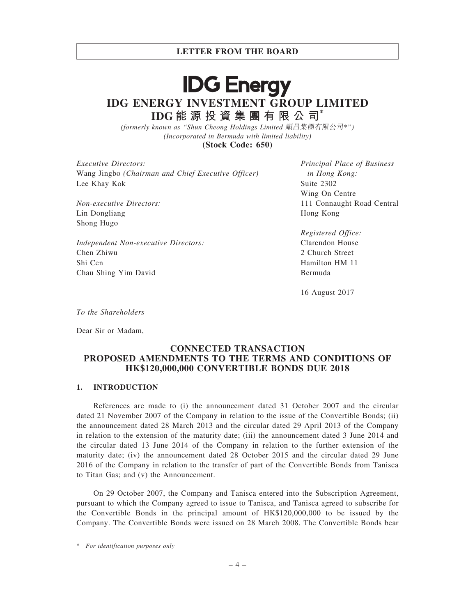# **IDG Energy** IDG ENERGY INVESTMENT GROUP LIMITED IDG 能 源 投 資 集 團 有 限 公 司\*

(formerly known as ''Shun Cheong Holdings Limited 順昌集團有限公司\*'') (Incorporated in Bermuda with limited liability) (Stock Code: 650)

Executive Directors: Wang Jingbo (Chairman and Chief Executive Officer) Lee Khay Kok

Non-executive Directors: Lin Dongliang Shong Hugo

Independent Non-executive Directors: Chen Zhiwu Shi Cen Chau Shing Yim David

Principal Place of Business in Hong Kong: Suite 2302 Wing On Centre 111 Connaught Road Central Hong Kong

Registered Office: Clarendon House 2 Church Street Hamilton HM 11 Bermuda

16 August 2017

To the Shareholders

Dear Sir or Madam,

#### CONNECTED TRANSACTION PROPOSED AMENDMENTS TO THE TERMS AND CONDITIONS OF HK\$120,000,000 CONVERTIBLE BONDS DUE 2018

#### 1. INTRODUCTION

References are made to (i) the announcement dated 31 October 2007 and the circular dated 21 November 2007 of the Company in relation to the issue of the Convertible Bonds; (ii) the announcement dated 28 March 2013 and the circular dated 29 April 2013 of the Company in relation to the extension of the maturity date; (iii) the announcement dated 3 June 2014 and the circular dated 13 June 2014 of the Company in relation to the further extension of the maturity date; (iv) the announcement dated 28 October 2015 and the circular dated 29 June 2016 of the Company in relation to the transfer of part of the Convertible Bonds from Tanisca to Titan Gas; and (v) the Announcement.

On 29 October 2007, the Company and Tanisca entered into the Subscription Agreement, pursuant to which the Company agreed to issue to Tanisca, and Tanisca agreed to subscribe for the Convertible Bonds in the principal amount of HK\$120,000,000 to be issued by the Company. The Convertible Bonds were issued on 28 March 2008. The Convertible Bonds bear

\* For identification purposes only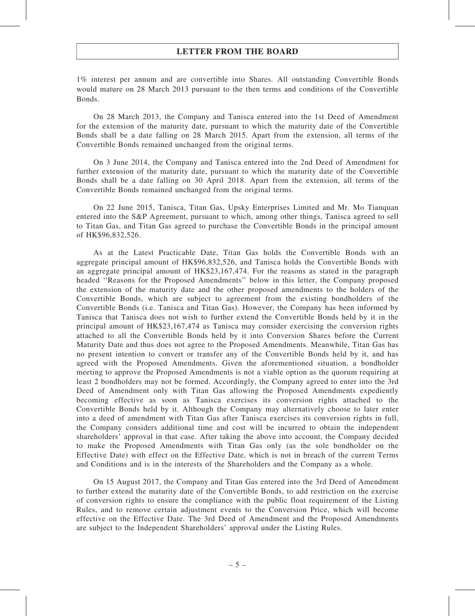1% interest per annum and are convertible into Shares. All outstanding Convertible Bonds would mature on 28 March 2013 pursuant to the then terms and conditions of the Convertible Bonds.

On 28 March 2013, the Company and Tanisca entered into the 1st Deed of Amendment for the extension of the maturity date, pursuant to which the maturity date of the Convertible Bonds shall be a date falling on 28 March 2015. Apart from the extension, all terms of the Convertible Bonds remained unchanged from the original terms.

On 3 June 2014, the Company and Tanisca entered into the 2nd Deed of Amendment for further extension of the maturity date, pursuant to which the maturity date of the Convertible Bonds shall be a date falling on 30 April 2018. Apart from the extension, all terms of the Convertible Bonds remained unchanged from the original terms.

On 22 June 2015, Tanisca, Titan Gas, Upsky Enterprises Limited and Mr. Mo Tianquan entered into the S&P Agreement, pursuant to which, among other things, Tanisca agreed to sell to Titan Gas, and Titan Gas agreed to purchase the Convertible Bonds in the principal amount of HK\$96,832,526.

As at the Latest Practicable Date, Titan Gas holds the Convertible Bonds with an aggregate principal amount of HK\$96,832,526, and Tanisca holds the Convertible Bonds with an aggregate principal amount of HK\$23,167,474. For the reasons as stated in the paragraph headed ''Reasons for the Proposed Amendments'' below in this letter, the Company proposed the extension of the maturity date and the other proposed amendments to the holders of the Convertible Bonds, which are subject to agreement from the existing bondholders of the Convertible Bonds (i.e. Tanisca and Titan Gas). However, the Company has been informed by Tanisca that Tanisca does not wish to further extend the Convertible Bonds held by it in the principal amount of HK\$23,167,474 as Tanisca may consider exercising the conversion rights attached to all the Convertible Bonds held by it into Conversion Shares before the Current Maturity Date and thus does not agree to the Proposed Amendments. Meanwhile, Titan Gas has no present intention to convert or transfer any of the Convertible Bonds held by it, and has agreed with the Proposed Amendments. Given the aforementioned situation, a bondholder meeting to approve the Proposed Amendments is not a viable option as the quorum requiring at least 2 bondholders may not be formed. Accordingly, the Company agreed to enter into the 3rd Deed of Amendment only with Titan Gas allowing the Proposed Amendments expediently becoming effective as soon as Tanisca exercises its conversion rights attached to the Convertible Bonds held by it. Although the Company may alternatively choose to later enter into a deed of amendment with Titan Gas after Tanisca exercises its conversion rights in full, the Company considers additional time and cost will be incurred to obtain the independent shareholders' approval in that case. After taking the above into account, the Company decided to make the Proposed Amendments with Titan Gas only (as the sole bondholder on the Effective Date) with effect on the Effective Date, which is not in breach of the current Terms and Conditions and is in the interests of the Shareholders and the Company as a whole.

On 15 August 2017, the Company and Titan Gas entered into the 3rd Deed of Amendment to further extend the maturity date of the Convertible Bonds, to add restriction on the exercise of conversion rights to ensure the compliance with the public float requirement of the Listing Rules, and to remove certain adjustment events to the Conversion Price, which will become effective on the Effective Date. The 3rd Deed of Amendment and the Proposed Amendments are subject to the Independent Shareholders' approval under the Listing Rules.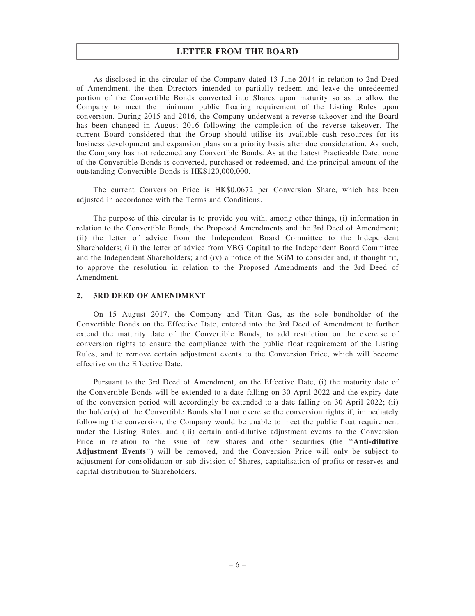As disclosed in the circular of the Company dated 13 June 2014 in relation to 2nd Deed of Amendment, the then Directors intended to partially redeem and leave the unredeemed portion of the Convertible Bonds converted into Shares upon maturity so as to allow the Company to meet the minimum public floating requirement of the Listing Rules upon conversion. During 2015 and 2016, the Company underwent a reverse takeover and the Board has been changed in August 2016 following the completion of the reverse takeover. The current Board considered that the Group should utilise its available cash resources for its business development and expansion plans on a priority basis after due consideration. As such, the Company has not redeemed any Convertible Bonds. As at the Latest Practicable Date, none of the Convertible Bonds is converted, purchased or redeemed, and the principal amount of the outstanding Convertible Bonds is HK\$120,000,000.

The current Conversion Price is HK\$0.0672 per Conversion Share, which has been adjusted in accordance with the Terms and Conditions.

The purpose of this circular is to provide you with, among other things, (i) information in relation to the Convertible Bonds, the Proposed Amendments and the 3rd Deed of Amendment; (ii) the letter of advice from the Independent Board Committee to the Independent Shareholders; (iii) the letter of advice from VBG Capital to the Independent Board Committee and the Independent Shareholders; and (iv) a notice of the SGM to consider and, if thought fit, to approve the resolution in relation to the Proposed Amendments and the 3rd Deed of Amendment.

#### 2. 3RD DEED OF AMENDMENT

On 15 August 2017, the Company and Titan Gas, as the sole bondholder of the Convertible Bonds on the Effective Date, entered into the 3rd Deed of Amendment to further extend the maturity date of the Convertible Bonds, to add restriction on the exercise of conversion rights to ensure the compliance with the public float requirement of the Listing Rules, and to remove certain adjustment events to the Conversion Price, which will become effective on the Effective Date.

Pursuant to the 3rd Deed of Amendment, on the Effective Date, (i) the maturity date of the Convertible Bonds will be extended to a date falling on 30 April 2022 and the expiry date of the conversion period will accordingly be extended to a date falling on 30 April 2022; (ii) the holder(s) of the Convertible Bonds shall not exercise the conversion rights if, immediately following the conversion, the Company would be unable to meet the public float requirement under the Listing Rules; and (iii) certain anti-dilutive adjustment events to the Conversion Price in relation to the issue of new shares and other securities (the "Anti-dilutive Adjustment Events'') will be removed, and the Conversion Price will only be subject to adjustment for consolidation or sub-division of Shares, capitalisation of profits or reserves and capital distribution to Shareholders.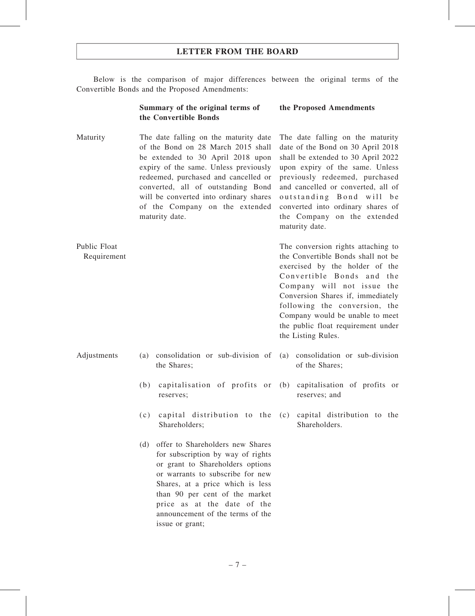Below is the comparison of major differences between the original terms of the Convertible Bonds and the Proposed Amendments:

#### Summary of the original terms of the Convertible Bonds

#### the Proposed Amendments

Maturity The date falling on the maturity date of the Bond on 28 March 2015 shall be extended to 30 April 2018 upon expiry of the same. Unless previously redeemed, purchased and cancelled or converted, all of outstanding Bond will be converted into ordinary shares of the Company on the extended maturity date. The date falling on the maturity

Public Float Requirement

- Adjustments (a) consolidation or sub-division of the Shares;
	- (b) capitalisation of profits or reserves;
	- (c) capital distribution to the Shareholders;
	- (d) offer to Shareholders new Shares for subscription by way of rights or grant to Shareholders options or warrants to subscribe for new Shares, at a price which is less than 90 per cent of the market price as at the date of the announcement of the terms of the issue or grant;

date of the Bond on 30 April 2018 shall be extended to 30 April 2022 upon expiry of the same. Unless previously redeemed, purchased and cancelled or converted, all of outstanding Bond will be converted into ordinary shares of the Company on the extended maturity date.

The conversion rights attaching to the Convertible Bonds shall not be exercised by the holder of the Convertible Bonds and the Company will not issue the Conversion Shares if, immediately following the conversion, the Company would be unable to meet the public float requirement under the Listing Rules.

- (a) consolidation or sub-division of the Shares;
- (b) capitalisation of profits or reserves; and
- (c) capital distribution to the Shareholders.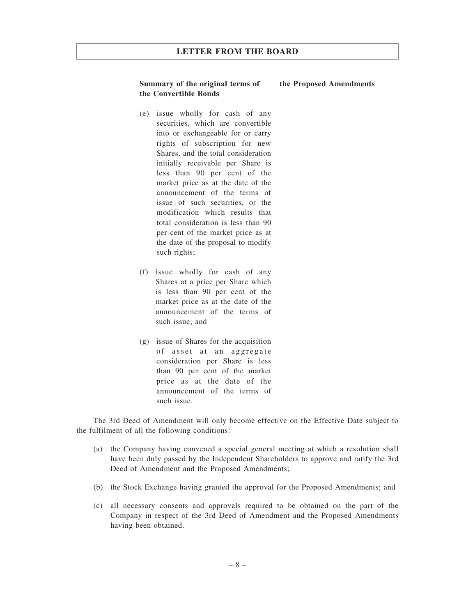#### Summary of the original terms of the Convertible Bonds

- (e) issue wholly for cash of any securities, which are convertible into or exchangeable for or carry rights of subscription for new Shares, and the total consideration initially receivable per Share is less than 90 per cent of the market price as at the date of the announcement of the terms of issue of such securities, or the modification which results that total consideration is less than 90 per cent of the market price as at the date of the proposal to modify such rights;
- (f) issue wholly for cash of any Shares at a price per Share which is less than 90 per cent of the market price as at the date of the announcement of the terms of such issue; and
- (g) issue of Shares for the acquisition of asset at an aggregate consideration per Share is less than 90 per cent of the market price as at the date of the announcement of the terms of such issue.

The 3rd Deed of Amendment will only become effective on the Effective Date subject to the fulfilment of all the following conditions:

- (a) the Company having convened a special general meeting at which a resolution shall have been duly passed by the Independent Shareholders to approve and ratify the 3rd Deed of Amendment and the Proposed Amendments;
- (b) the Stock Exchange having granted the approval for the Proposed Amendments; and
- (c) all necessary consents and approvals required to be obtained on the part of the Company in respect of the 3rd Deed of Amendment and the Proposed Amendments having been obtained.

#### the Proposed Amendments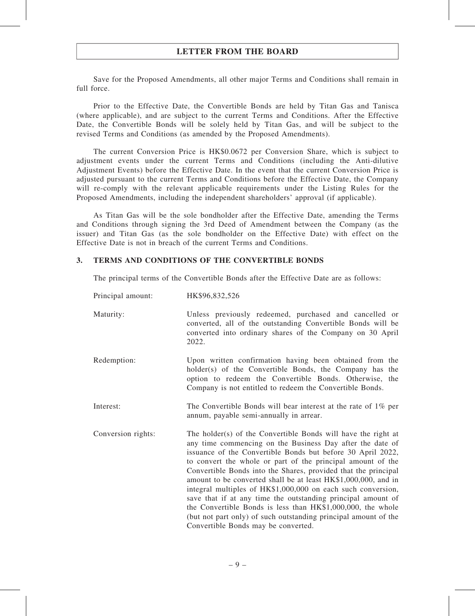Save for the Proposed Amendments, all other major Terms and Conditions shall remain in full force.

Prior to the Effective Date, the Convertible Bonds are held by Titan Gas and Tanisca (where applicable), and are subject to the current Terms and Conditions. After the Effective Date, the Convertible Bonds will be solely held by Titan Gas, and will be subject to the revised Terms and Conditions (as amended by the Proposed Amendments).

The current Conversion Price is HK\$0.0672 per Conversion Share, which is subject to adjustment events under the current Terms and Conditions (including the Anti-dilutive Adjustment Events) before the Effective Date. In the event that the current Conversion Price is adjusted pursuant to the current Terms and Conditions before the Effective Date, the Company will re-comply with the relevant applicable requirements under the Listing Rules for the Proposed Amendments, including the independent shareholders' approval (if applicable).

As Titan Gas will be the sole bondholder after the Effective Date, amending the Terms and Conditions through signing the 3rd Deed of Amendment between the Company (as the issuer) and Titan Gas (as the sole bondholder on the Effective Date) with effect on the Effective Date is not in breach of the current Terms and Conditions.

#### 3. TERMS AND CONDITIONS OF THE CONVERTIBLE BONDS

The principal terms of the Convertible Bonds after the Effective Date are as follows:

| Principal amount:  | HK\$96,832,526                                                                                                                                                                                                                                                                                                                                                                                                                                                                                                                                                                                                                                                                                        |
|--------------------|-------------------------------------------------------------------------------------------------------------------------------------------------------------------------------------------------------------------------------------------------------------------------------------------------------------------------------------------------------------------------------------------------------------------------------------------------------------------------------------------------------------------------------------------------------------------------------------------------------------------------------------------------------------------------------------------------------|
| Maturity:          | Unless previously redeemed, purchased and cancelled or<br>converted, all of the outstanding Convertible Bonds will be<br>converted into ordinary shares of the Company on 30 April<br>2022.                                                                                                                                                                                                                                                                                                                                                                                                                                                                                                           |
| Redemption:        | Upon written confirmation having been obtained from the<br>holder(s) of the Convertible Bonds, the Company has the<br>option to redeem the Convertible Bonds. Otherwise, the<br>Company is not entitled to redeem the Convertible Bonds.                                                                                                                                                                                                                                                                                                                                                                                                                                                              |
| Interest:          | The Convertible Bonds will bear interest at the rate of $1\%$ per<br>annum, payable semi-annually in arrear.                                                                                                                                                                                                                                                                                                                                                                                                                                                                                                                                                                                          |
| Conversion rights: | The holder(s) of the Convertible Bonds will have the right at<br>any time commencing on the Business Day after the date of<br>issuance of the Convertible Bonds but before 30 April 2022,<br>to convert the whole or part of the principal amount of the<br>Convertible Bonds into the Shares, provided that the principal<br>amount to be converted shall be at least HK\$1,000,000, and in<br>integral multiples of HK\$1,000,000 on each such conversion,<br>save that if at any time the outstanding principal amount of<br>the Convertible Bonds is less than HK\$1,000,000, the whole<br>(but not part only) of such outstanding principal amount of the<br>Convertible Bonds may be converted. |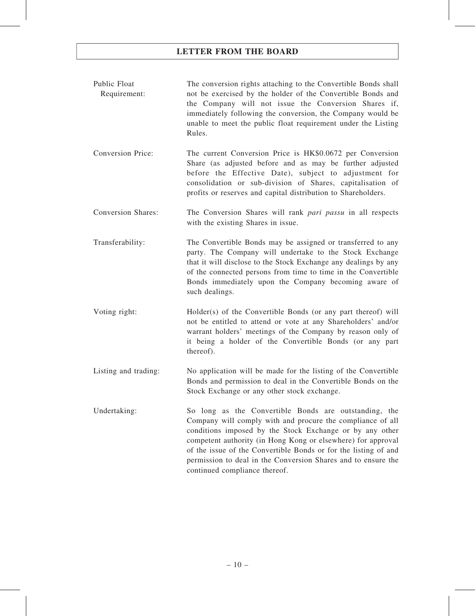- Public Float Requirement: The conversion rights attaching to the Convertible Bonds shall not be exercised by the holder of the Convertible Bonds and the Company will not issue the Conversion Shares if, immediately following the conversion, the Company would be unable to meet the public float requirement under the Listing Rules.
- Conversion Price: The current Conversion Price is HK\$0.0672 per Conversion Share (as adjusted before and as may be further adjusted before the Effective Date), subject to adjustment for consolidation or sub-division of Shares, capitalisation of profits or reserves and capital distribution to Shareholders.
- Conversion Shares: The Conversion Shares will rank pari passu in all respects with the existing Shares in issue.
- Transferability: The Convertible Bonds may be assigned or transferred to any party. The Company will undertake to the Stock Exchange that it will disclose to the Stock Exchange any dealings by any of the connected persons from time to time in the Convertible Bonds immediately upon the Company becoming aware of such dealings.
- Voting right: Holder(s) of the Convertible Bonds (or any part thereof) will not be entitled to attend or vote at any Shareholders' and/or warrant holders' meetings of the Company by reason only of it being a holder of the Convertible Bonds (or any part thereof).
- Listing and trading: No application will be made for the listing of the Convertible Bonds and permission to deal in the Convertible Bonds on the Stock Exchange or any other stock exchange.
- Undertaking: So long as the Convertible Bonds are outstanding, the Company will comply with and procure the compliance of all conditions imposed by the Stock Exchange or by any other competent authority (in Hong Kong or elsewhere) for approval of the issue of the Convertible Bonds or for the listing of and permission to deal in the Conversion Shares and to ensure the continued compliance thereof.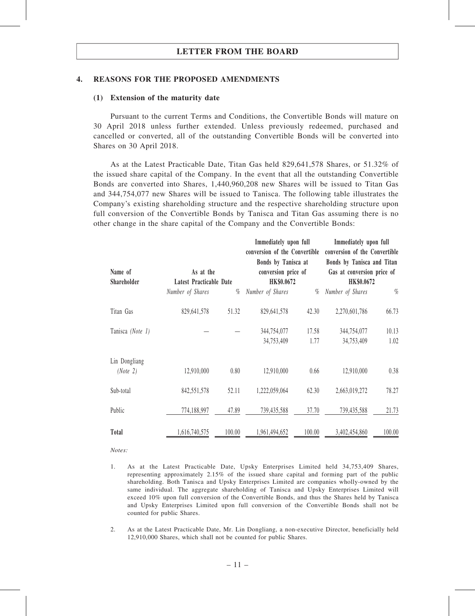#### 4. REASONS FOR THE PROPOSED AMENDMENTS

#### (1) Extension of the maturity date

Pursuant to the current Terms and Conditions, the Convertible Bonds will mature on 30 April 2018 unless further extended. Unless previously redeemed, purchased and cancelled or converted, all of the outstanding Convertible Bonds will be converted into Shares on 30 April 2018.

As at the Latest Practicable Date, Titan Gas held 829,641,578 Shares, or 51.32% of the issued share capital of the Company. In the event that all the outstanding Convertible Bonds are converted into Shares, 1,440,960,208 new Shares will be issued to Titan Gas and 344,754,077 new Shares will be issued to Tanisca. The following table illustrates the Company's existing shareholding structure and the respective shareholding structure upon full conversion of the Convertible Bonds by Tanisca and Titan Gas assuming there is no other change in the share capital of the Company and the Convertible Bonds:

| Name of<br><b>Shareholder</b> |                  | Immediately upon full<br>conversion of the Convertible<br>conversion of the Convertible<br>Bonds by Tanisca at<br>Bonds by Tanisca and Titan<br>As at the<br>conversion price of<br>Gas at conversion price of<br>HK\$0.0672<br>HK\$0.0672<br>Latest Practicable Date |                           | Immediately upon full |                           |               |
|-------------------------------|------------------|-----------------------------------------------------------------------------------------------------------------------------------------------------------------------------------------------------------------------------------------------------------------------|---------------------------|-----------------------|---------------------------|---------------|
|                               | Number of Shares | $\%$                                                                                                                                                                                                                                                                  | Number of Shares          | $\%$                  | Number of Shares          | $\%$          |
| Titan Gas                     | 829,641,578      | 51.32                                                                                                                                                                                                                                                                 | 829,641,578               | 42.30                 | 2,270,601,786             | 66.73         |
| Tanisca (Note 1)              |                  |                                                                                                                                                                                                                                                                       | 344,754,077<br>34,753,409 | 17.58<br>1.77         | 344,754,077<br>34,753,409 | 10.13<br>1.02 |
| Lin Dongliang<br>(Note 2)     | 12,910,000       | 0.80                                                                                                                                                                                                                                                                  | 12,910,000                | 0.66                  | 12,910,000                | 0.38          |
| Sub-total                     | 842,551,578      | 52.11                                                                                                                                                                                                                                                                 | 1,222,059,064             | 62.30                 | 2,663,019,272             | 78.27         |
| Public                        | 774,188,997      | 47.89                                                                                                                                                                                                                                                                 | 739,435,588               | 37.70                 | 739,435,588               | 21.73         |
| Total                         | 1,616,740,575    | 100.00                                                                                                                                                                                                                                                                | 1,961,494,652             | 100.00                | 3,402,454,860             | 100.00        |

Notes:

- 1. As at the Latest Practicable Date, Upsky Enterprises Limited held 34,753,409 Shares, representing approximately 2.15% of the issued share capital and forming part of the public shareholding. Both Tanisca and Upsky Enterprises Limited are companies wholly-owned by the same individual. The aggregate shareholding of Tanisca and Upsky Enterprises Limited will exceed 10% upon full conversion of the Convertible Bonds, and thus the Shares held by Tanisca and Upsky Enterprises Limited upon full conversion of the Convertible Bonds shall not be counted for public Shares.
- 2. As at the Latest Practicable Date, Mr. Lin Dongliang, a non-executive Director, beneficially held 12,910,000 Shares, which shall not be counted for public Shares.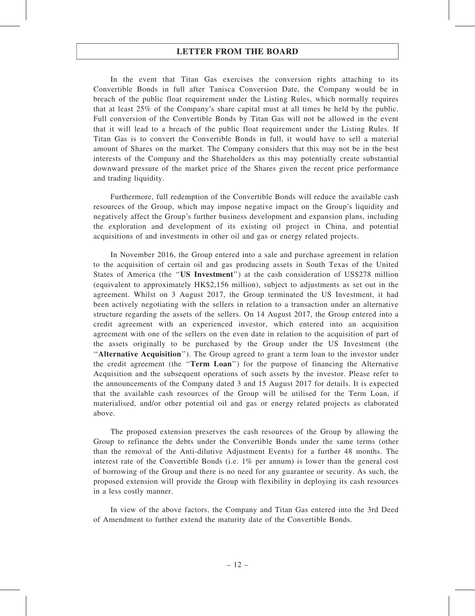In the event that Titan Gas exercises the conversion rights attaching to its Convertible Bonds in full after Tanisca Conversion Date, the Company would be in breach of the public float requirement under the Listing Rules, which normally requires that at least 25% of the Company's share capital must at all times be held by the public. Full conversion of the Convertible Bonds by Titan Gas will not be allowed in the event that it will lead to a breach of the public float requirement under the Listing Rules. If Titan Gas is to convert the Convertible Bonds in full, it would have to sell a material amount of Shares on the market. The Company considers that this may not be in the best interests of the Company and the Shareholders as this may potentially create substantial downward pressure of the market price of the Shares given the recent price performance and trading liquidity.

Furthermore, full redemption of the Convertible Bonds will reduce the available cash resources of the Group, which may impose negative impact on the Group's liquidity and negatively affect the Group's further business development and expansion plans, including the exploration and development of its existing oil project in China, and potential acquisitions of and investments in other oil and gas or energy related projects.

In November 2016, the Group entered into a sale and purchase agreement in relation to the acquisition of certain oil and gas producing assets in South Texas of the United States of America (the ''US Investment'') at the cash consideration of US\$278 million (equivalent to approximately HK\$2,156 million), subject to adjustments as set out in the agreement. Whilst on 3 August 2017, the Group terminated the US Investment, it had been actively negotiating with the sellers in relation to a transaction under an alternative structure regarding the assets of the sellers. On 14 August 2017, the Group entered into a credit agreement with an experienced investor, which entered into an acquisition agreement with one of the sellers on the even date in relation to the acquisition of part of the assets originally to be purchased by the Group under the US Investment (the ''Alternative Acquisition''). The Group agreed to grant a term loan to the investor under the credit agreement (the ''Term Loan'') for the purpose of financing the Alternative Acquisition and the subsequent operations of such assets by the investor. Please refer to the announcements of the Company dated 3 and 15 August 2017 for details. It is expected that the available cash resources of the Group will be utilised for the Term Loan, if materialised, and/or other potential oil and gas or energy related projects as elaborated above.

The proposed extension preserves the cash resources of the Group by allowing the Group to refinance the debts under the Convertible Bonds under the same terms (other than the removal of the Anti-dilutive Adjustment Events) for a further 48 months. The interest rate of the Convertible Bonds (i.e. 1% per annum) is lower than the general cost of borrowing of the Group and there is no need for any guarantee or security. As such, the proposed extension will provide the Group with flexibility in deploying its cash resources in a less costly manner.

In view of the above factors, the Company and Titan Gas entered into the 3rd Deed of Amendment to further extend the maturity date of the Convertible Bonds.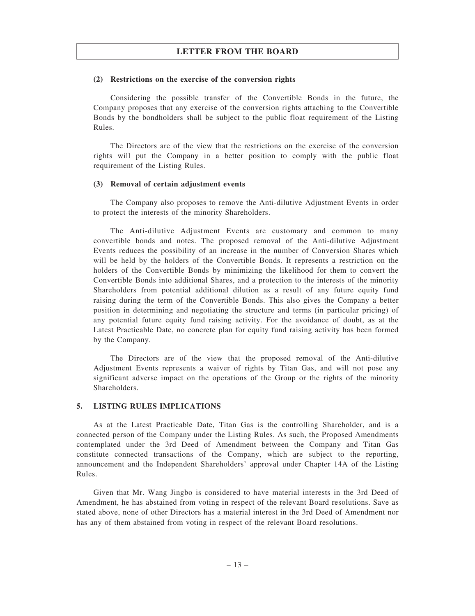#### (2) Restrictions on the exercise of the conversion rights

Considering the possible transfer of the Convertible Bonds in the future, the Company proposes that any exercise of the conversion rights attaching to the Convertible Bonds by the bondholders shall be subject to the public float requirement of the Listing Rules.

The Directors are of the view that the restrictions on the exercise of the conversion rights will put the Company in a better position to comply with the public float requirement of the Listing Rules.

#### (3) Removal of certain adjustment events

The Company also proposes to remove the Anti-dilutive Adjustment Events in order to protect the interests of the minority Shareholders.

The Anti-dilutive Adjustment Events are customary and common to many convertible bonds and notes. The proposed removal of the Anti-dilutive Adjustment Events reduces the possibility of an increase in the number of Conversion Shares which will be held by the holders of the Convertible Bonds. It represents a restriction on the holders of the Convertible Bonds by minimizing the likelihood for them to convert the Convertible Bonds into additional Shares, and a protection to the interests of the minority Shareholders from potential additional dilution as a result of any future equity fund raising during the term of the Convertible Bonds. This also gives the Company a better position in determining and negotiating the structure and terms (in particular pricing) of any potential future equity fund raising activity. For the avoidance of doubt, as at the Latest Practicable Date, no concrete plan for equity fund raising activity has been formed by the Company.

The Directors are of the view that the proposed removal of the Anti-dilutive Adjustment Events represents a waiver of rights by Titan Gas, and will not pose any significant adverse impact on the operations of the Group or the rights of the minority Shareholders.

#### 5. LISTING RULES IMPLICATIONS

As at the Latest Practicable Date, Titan Gas is the controlling Shareholder, and is a connected person of the Company under the Listing Rules. As such, the Proposed Amendments contemplated under the 3rd Deed of Amendment between the Company and Titan Gas constitute connected transactions of the Company, which are subject to the reporting, announcement and the Independent Shareholders' approval under Chapter 14A of the Listing Rules.

Given that Mr. Wang Jingbo is considered to have material interests in the 3rd Deed of Amendment, he has abstained from voting in respect of the relevant Board resolutions. Save as stated above, none of other Directors has a material interest in the 3rd Deed of Amendment nor has any of them abstained from voting in respect of the relevant Board resolutions.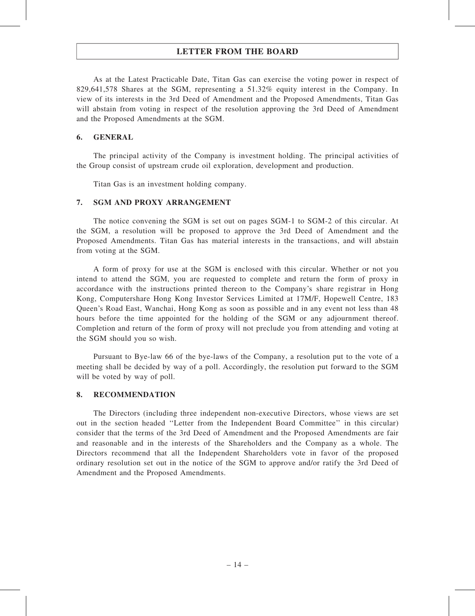As at the Latest Practicable Date, Titan Gas can exercise the voting power in respect of 829,641,578 Shares at the SGM, representing a 51.32% equity interest in the Company. In view of its interests in the 3rd Deed of Amendment and the Proposed Amendments, Titan Gas will abstain from voting in respect of the resolution approving the 3rd Deed of Amendment and the Proposed Amendments at the SGM.

#### 6. GENERAL

The principal activity of the Company is investment holding. The principal activities of the Group consist of upstream crude oil exploration, development and production.

Titan Gas is an investment holding company.

#### 7. SGM AND PROXY ARRANGEMENT

The notice convening the SGM is set out on pages SGM-1 to SGM-2 of this circular. At the SGM, a resolution will be proposed to approve the 3rd Deed of Amendment and the Proposed Amendments. Titan Gas has material interests in the transactions, and will abstain from voting at the SGM.

A form of proxy for use at the SGM is enclosed with this circular. Whether or not you intend to attend the SGM, you are requested to complete and return the form of proxy in accordance with the instructions printed thereon to the Company's share registrar in Hong Kong, Computershare Hong Kong Investor Services Limited at 17M/F, Hopewell Centre, 183 Queen's Road East, Wanchai, Hong Kong as soon as possible and in any event not less than 48 hours before the time appointed for the holding of the SGM or any adjournment thereof. Completion and return of the form of proxy will not preclude you from attending and voting at the SGM should you so wish.

Pursuant to Bye-law 66 of the bye-laws of the Company, a resolution put to the vote of a meeting shall be decided by way of a poll. Accordingly, the resolution put forward to the SGM will be voted by way of poll.

#### 8. RECOMMENDATION

The Directors (including three independent non-executive Directors, whose views are set out in the section headed ''Letter from the Independent Board Committee'' in this circular) consider that the terms of the 3rd Deed of Amendment and the Proposed Amendments are fair and reasonable and in the interests of the Shareholders and the Company as a whole. The Directors recommend that all the Independent Shareholders vote in favor of the proposed ordinary resolution set out in the notice of the SGM to approve and/or ratify the 3rd Deed of Amendment and the Proposed Amendments.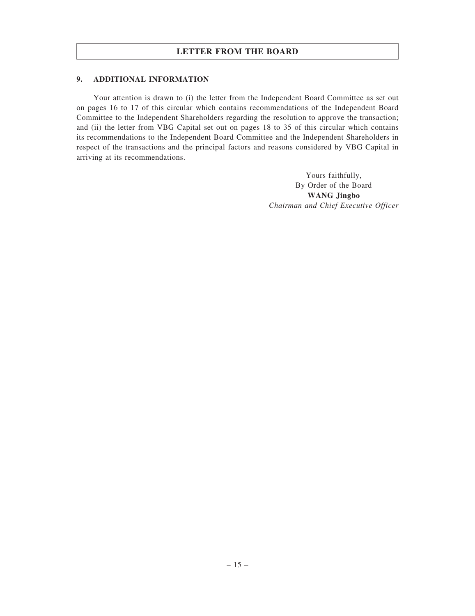#### 9. ADDITIONAL INFORMATION

Your attention is drawn to (i) the letter from the Independent Board Committee as set out on pages 16 to 17 of this circular which contains recommendations of the Independent Board Committee to the Independent Shareholders regarding the resolution to approve the transaction; and (ii) the letter from VBG Capital set out on pages 18 to 35 of this circular which contains its recommendations to the Independent Board Committee and the Independent Shareholders in respect of the transactions and the principal factors and reasons considered by VBG Capital in arriving at its recommendations.

> Yours faithfully, By Order of the Board WANG Jingbo Chairman and Chief Executive Officer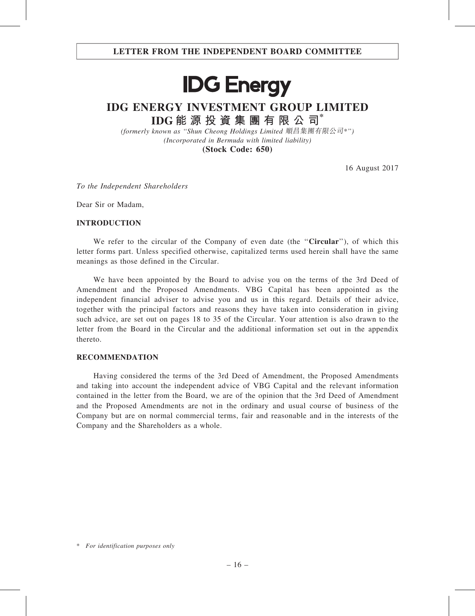# **IDG Energy**

### IDG ENERGY INVESTMENT GROUP LIMITED IDG 能 源 投 資 集 團 有 限 公 司\*

(formerly known as ''Shun Cheong Holdings Limited 順昌集團有限公司\*'') (Incorporated in Bermuda with limited liability) (Stock Code: 650)

16 August 2017

To the Independent Shareholders

Dear Sir or Madam,

#### INTRODUCTION

We refer to the circular of the Company of even date (the "Circular"), of which this letter forms part. Unless specified otherwise, capitalized terms used herein shall have the same meanings as those defined in the Circular.

We have been appointed by the Board to advise you on the terms of the 3rd Deed of Amendment and the Proposed Amendments. VBG Capital has been appointed as the independent financial adviser to advise you and us in this regard. Details of their advice, together with the principal factors and reasons they have taken into consideration in giving such advice, are set out on pages 18 to 35 of the Circular. Your attention is also drawn to the letter from the Board in the Circular and the additional information set out in the appendix thereto.

#### RECOMMENDATION

Having considered the terms of the 3rd Deed of Amendment, the Proposed Amendments and taking into account the independent advice of VBG Capital and the relevant information contained in the letter from the Board, we are of the opinion that the 3rd Deed of Amendment and the Proposed Amendments are not in the ordinary and usual course of business of the Company but are on normal commercial terms, fair and reasonable and in the interests of the Company and the Shareholders as a whole.

<sup>\*</sup> For identification purposes only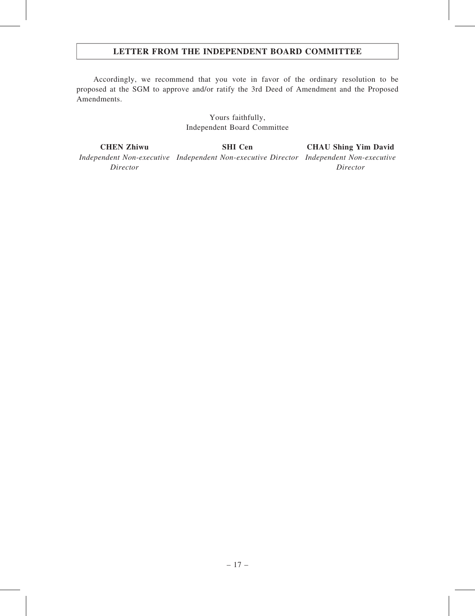#### LETTER FROM THE INDEPENDENT BOARD COMMITTEE

Accordingly, we recommend that you vote in favor of the ordinary resolution to be proposed at the SGM to approve and/or ratify the 3rd Deed of Amendment and the Proposed Amendments.

> Yours faithfully, Independent Board Committee

CHEN Zhiwu Independent Non-executive Independent Non-executive Director Independent Non-executive Director SHI Cen CHAU Shing Yim David Director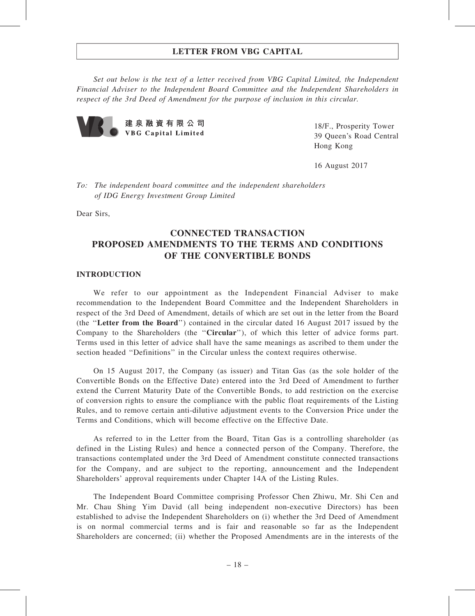Set out below is the text of a letter received from VBG Capital Limited, the Independent Financial Adviser to the Independent Board Committee and the Independent Shareholders in respect of the 3rd Deed of Amendment for the purpose of inclusion in this circular.



18/F., Prosperity Tower 39 Queen's Road Central Hong Kong

16 August 2017

To: The independent board committee and the independent shareholders of IDG Energy Investment Group Limited

Dear Sirs,

#### CONNECTED TRANSACTION PROPOSED AMENDMENTS TO THE TERMS AND CONDITIONS OF THE CONVERTIBLE BONDS

#### INTRODUCTION

We refer to our appointment as the Independent Financial Adviser to make recommendation to the Independent Board Committee and the Independent Shareholders in respect of the 3rd Deed of Amendment, details of which are set out in the letter from the Board (the ''Letter from the Board'') contained in the circular dated 16 August 2017 issued by the Company to the Shareholders (the ''Circular''), of which this letter of advice forms part. Terms used in this letter of advice shall have the same meanings as ascribed to them under the section headed ''Definitions'' in the Circular unless the context requires otherwise.

On 15 August 2017, the Company (as issuer) and Titan Gas (as the sole holder of the Convertible Bonds on the Effective Date) entered into the 3rd Deed of Amendment to further extend the Current Maturity Date of the Convertible Bonds, to add restriction on the exercise of conversion rights to ensure the compliance with the public float requirements of the Listing Rules, and to remove certain anti-dilutive adjustment events to the Conversion Price under the Terms and Conditions, which will become effective on the Effective Date.

As referred to in the Letter from the Board, Titan Gas is a controlling shareholder (as defined in the Listing Rules) and hence a connected person of the Company. Therefore, the transactions contemplated under the 3rd Deed of Amendment constitute connected transactions for the Company, and are subject to the reporting, announcement and the Independent Shareholders' approval requirements under Chapter 14A of the Listing Rules.

The Independent Board Committee comprising Professor Chen Zhiwu, Mr. Shi Cen and Mr. Chau Shing Yim David (all being independent non-executive Directors) has been established to advise the Independent Shareholders on (i) whether the 3rd Deed of Amendment is on normal commercial terms and is fair and reasonable so far as the Independent Shareholders are concerned; (ii) whether the Proposed Amendments are in the interests of the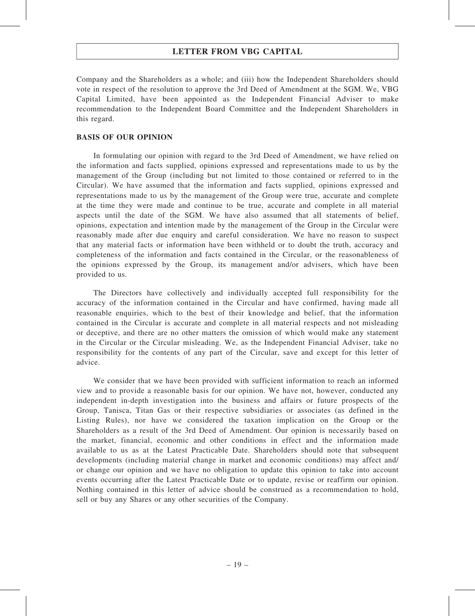Company and the Shareholders as a whole; and (iii) how the Independent Shareholders should vote in respect of the resolution to approve the 3rd Deed of Amendment at the SGM. We, VBG Capital Limited, have been appointed as the Independent Financial Adviser to make recommendation to the Independent Board Committee and the Independent Shareholders in this regard.

#### BASIS OF OUR OPINION

In formulating our opinion with regard to the 3rd Deed of Amendment, we have relied on the information and facts supplied, opinions expressed and representations made to us by the management of the Group (including but not limited to those contained or referred to in the Circular). We have assumed that the information and facts supplied, opinions expressed and representations made to us by the management of the Group were true, accurate and complete at the time they were made and continue to be true, accurate and complete in all material aspects until the date of the SGM. We have also assumed that all statements of belief, opinions, expectation and intention made by the management of the Group in the Circular were reasonably made after due enquiry and careful consideration. We have no reason to suspect that any material facts or information have been withheld or to doubt the truth, accuracy and completeness of the information and facts contained in the Circular, or the reasonableness of the opinions expressed by the Group, its management and/or advisers, which have been provided to us.

The Directors have collectively and individually accepted full responsibility for the accuracy of the information contained in the Circular and have confirmed, having made all reasonable enquiries, which to the best of their knowledge and belief, that the information contained in the Circular is accurate and complete in all material respects and not misleading or deceptive, and there are no other matters the omission of which would make any statement in the Circular or the Circular misleading. We, as the Independent Financial Adviser, take no responsibility for the contents of any part of the Circular, save and except for this letter of advice.

We consider that we have been provided with sufficient information to reach an informed view and to provide a reasonable basis for our opinion. We have not, however, conducted any independent in-depth investigation into the business and affairs or future prospects of the Group, Tanisca, Titan Gas or their respective subsidiaries or associates (as defined in the Listing Rules), nor have we considered the taxation implication on the Group or the Shareholders as a result of the 3rd Deed of Amendment. Our opinion is necessarily based on the market, financial, economic and other conditions in effect and the information made available to us as at the Latest Practicable Date. Shareholders should note that subsequent developments (including material change in market and economic conditions) may affect and/ or change our opinion and we have no obligation to update this opinion to take into account events occurring after the Latest Practicable Date or to update, revise or reaffirm our opinion. Nothing contained in this letter of advice should be construed as a recommendation to hold, sell or buy any Shares or any other securities of the Company.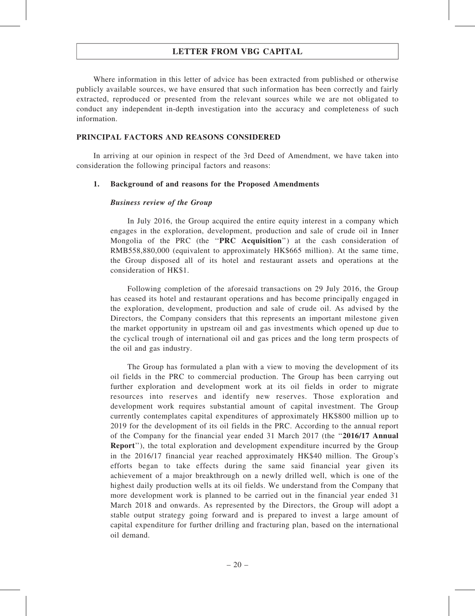Where information in this letter of advice has been extracted from published or otherwise publicly available sources, we have ensured that such information has been correctly and fairly extracted, reproduced or presented from the relevant sources while we are not obligated to conduct any independent in-depth investigation into the accuracy and completeness of such information.

#### PRINCIPAL FACTORS AND REASONS CONSIDERED

In arriving at our opinion in respect of the 3rd Deed of Amendment, we have taken into consideration the following principal factors and reasons:

#### 1. Background of and reasons for the Proposed Amendments

#### Business review of the Group

In July 2016, the Group acquired the entire equity interest in a company which engages in the exploration, development, production and sale of crude oil in Inner Mongolia of the PRC (the "PRC Acquisition") at the cash consideration of RMB558,880,000 (equivalent to approximately HK\$665 million). At the same time, the Group disposed all of its hotel and restaurant assets and operations at the consideration of HK\$1.

Following completion of the aforesaid transactions on 29 July 2016, the Group has ceased its hotel and restaurant operations and has become principally engaged in the exploration, development, production and sale of crude oil. As advised by the Directors, the Company considers that this represents an important milestone given the market opportunity in upstream oil and gas investments which opened up due to the cyclical trough of international oil and gas prices and the long term prospects of the oil and gas industry.

The Group has formulated a plan with a view to moving the development of its oil fields in the PRC to commercial production. The Group has been carrying out further exploration and development work at its oil fields in order to migrate resources into reserves and identify new reserves. Those exploration and development work requires substantial amount of capital investment. The Group currently contemplates capital expenditures of approximately HK\$800 million up to 2019 for the development of its oil fields in the PRC. According to the annual report of the Company for the financial year ended 31 March 2017 (the ''2016/17 Annual Report''), the total exploration and development expenditure incurred by the Group in the 2016/17 financial year reached approximately HK\$40 million. The Group's efforts began to take effects during the same said financial year given its achievement of a major breakthrough on a newly drilled well, which is one of the highest daily production wells at its oil fields. We understand from the Company that more development work is planned to be carried out in the financial year ended 31 March 2018 and onwards. As represented by the Directors, the Group will adopt a stable output strategy going forward and is prepared to invest a large amount of capital expenditure for further drilling and fracturing plan, based on the international oil demand.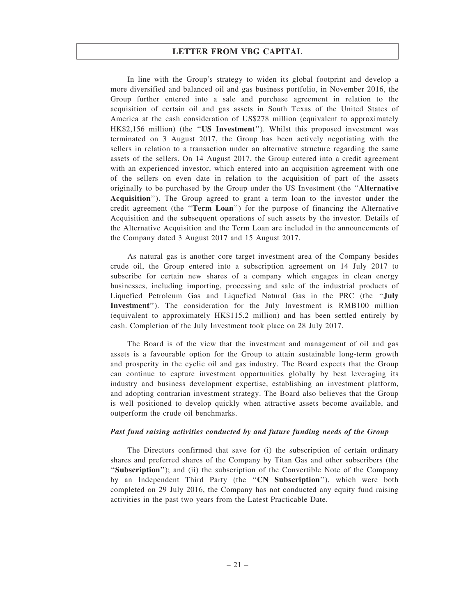In line with the Group's strategy to widen its global footprint and develop a more diversified and balanced oil and gas business portfolio, in November 2016, the Group further entered into a sale and purchase agreement in relation to the acquisition of certain oil and gas assets in South Texas of the United States of America at the cash consideration of US\$278 million (equivalent to approximately HK\$2,156 million) (the ''US Investment''). Whilst this proposed investment was terminated on 3 August 2017, the Group has been actively negotiating with the sellers in relation to a transaction under an alternative structure regarding the same assets of the sellers. On 14 August 2017, the Group entered into a credit agreement with an experienced investor, which entered into an acquisition agreement with one of the sellers on even date in relation to the acquisition of part of the assets originally to be purchased by the Group under the US Investment (the ''Alternative Acquisition''). The Group agreed to grant a term loan to the investor under the credit agreement (the ''Term Loan'') for the purpose of financing the Alternative Acquisition and the subsequent operations of such assets by the investor. Details of the Alternative Acquisition and the Term Loan are included in the announcements of the Company dated 3 August 2017 and 15 August 2017.

As natural gas is another core target investment area of the Company besides crude oil, the Group entered into a subscription agreement on 14 July 2017 to subscribe for certain new shares of a company which engages in clean energy businesses, including importing, processing and sale of the industrial products of Liquefied Petroleum Gas and Liquefied Natural Gas in the PRC (the ''July Investment''). The consideration for the July Investment is RMB100 million (equivalent to approximately HK\$115.2 million) and has been settled entirely by cash. Completion of the July Investment took place on 28 July 2017.

The Board is of the view that the investment and management of oil and gas assets is a favourable option for the Group to attain sustainable long-term growth and prosperity in the cyclic oil and gas industry. The Board expects that the Group can continue to capture investment opportunities globally by best leveraging its industry and business development expertise, establishing an investment platform, and adopting contrarian investment strategy. The Board also believes that the Group is well positioned to develop quickly when attractive assets become available, and outperform the crude oil benchmarks.

#### Past fund raising activities conducted by and future funding needs of the Group

The Directors confirmed that save for (i) the subscription of certain ordinary shares and preferred shares of the Company by Titan Gas and other subscribers (the "Subscription"); and (ii) the subscription of the Convertible Note of the Company by an Independent Third Party (the "CN Subscription"), which were both completed on 29 July 2016, the Company has not conducted any equity fund raising activities in the past two years from the Latest Practicable Date.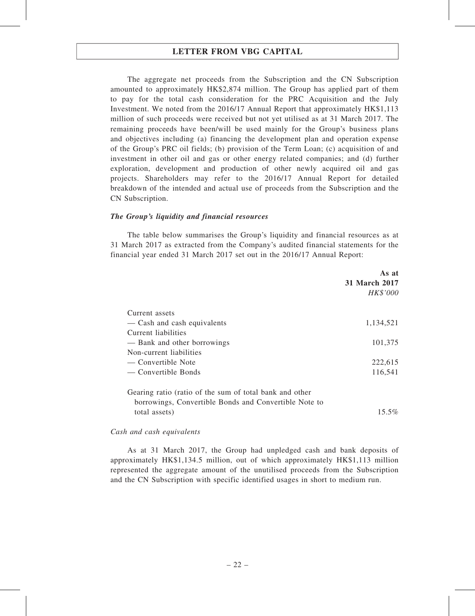The aggregate net proceeds from the Subscription and the CN Subscription amounted to approximately HK\$2,874 million. The Group has applied part of them to pay for the total cash consideration for the PRC Acquisition and the July Investment. We noted from the 2016/17 Annual Report that approximately HK\$1,113 million of such proceeds were received but not yet utilised as at 31 March 2017. The remaining proceeds have been/will be used mainly for the Group's business plans and objectives including (a) financing the development plan and operation expense of the Group's PRC oil fields; (b) provision of the Term Loan; (c) acquisition of and investment in other oil and gas or other energy related companies; and (d) further exploration, development and production of other newly acquired oil and gas projects. Shareholders may refer to the 2016/17 Annual Report for detailed breakdown of the intended and actual use of proceeds from the Subscription and the CN Subscription.

#### The Group's liquidity and financial resources

The table below summarises the Group's liquidity and financial resources as at 31 March 2017 as extracted from the Company's audited financial statements for the financial year ended 31 March 2017 set out in the 2016/17 Annual Report:

|                                                         | As at         |
|---------------------------------------------------------|---------------|
|                                                         | 31 March 2017 |
|                                                         | HK\$'000      |
| Current assets                                          |               |
| - Cash and cash equivalents                             | 1,134,521     |
| Current liabilities                                     |               |
| — Bank and other borrowings                             | 101,375       |
| Non-current liabilities                                 |               |
| — Convertible Note                                      | 222,615       |
| — Convertible Bonds                                     | 116,541       |
| Gearing ratio (ratio of the sum of total bank and other |               |
| borrowings, Convertible Bonds and Convertible Note to   |               |
| total assets)                                           | $15.5\%$      |

#### Cash and cash equivalents

As at 31 March 2017, the Group had unpledged cash and bank deposits of approximately HK\$1,134.5 million, out of which approximately HK\$1,113 million represented the aggregate amount of the unutilised proceeds from the Subscription and the CN Subscription with specific identified usages in short to medium run.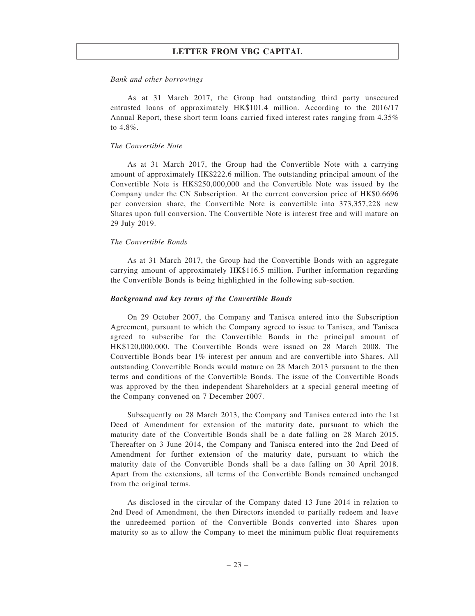#### Bank and other borrowings

As at 31 March 2017, the Group had outstanding third party unsecured entrusted loans of approximately HK\$101.4 million. According to the 2016/17 Annual Report, these short term loans carried fixed interest rates ranging from 4.35% to 4.8%.

#### The Convertible Note

As at 31 March 2017, the Group had the Convertible Note with a carrying amount of approximately HK\$222.6 million. The outstanding principal amount of the Convertible Note is HK\$250,000,000 and the Convertible Note was issued by the Company under the CN Subscription. At the current conversion price of HK\$0.6696 per conversion share, the Convertible Note is convertible into 373,357,228 new Shares upon full conversion. The Convertible Note is interest free and will mature on 29 July 2019.

#### The Convertible Bonds

As at 31 March 2017, the Group had the Convertible Bonds with an aggregate carrying amount of approximately HK\$116.5 million. Further information regarding the Convertible Bonds is being highlighted in the following sub-section.

#### Background and key terms of the Convertible Bonds

On 29 October 2007, the Company and Tanisca entered into the Subscription Agreement, pursuant to which the Company agreed to issue to Tanisca, and Tanisca agreed to subscribe for the Convertible Bonds in the principal amount of HK\$120,000,000. The Convertible Bonds were issued on 28 March 2008. The Convertible Bonds bear 1% interest per annum and are convertible into Shares. All outstanding Convertible Bonds would mature on 28 March 2013 pursuant to the then terms and conditions of the Convertible Bonds. The issue of the Convertible Bonds was approved by the then independent Shareholders at a special general meeting of the Company convened on 7 December 2007.

Subsequently on 28 March 2013, the Company and Tanisca entered into the 1st Deed of Amendment for extension of the maturity date, pursuant to which the maturity date of the Convertible Bonds shall be a date falling on 28 March 2015. Thereafter on 3 June 2014, the Company and Tanisca entered into the 2nd Deed of Amendment for further extension of the maturity date, pursuant to which the maturity date of the Convertible Bonds shall be a date falling on 30 April 2018. Apart from the extensions, all terms of the Convertible Bonds remained unchanged from the original terms.

As disclosed in the circular of the Company dated 13 June 2014 in relation to 2nd Deed of Amendment, the then Directors intended to partially redeem and leave the unredeemed portion of the Convertible Bonds converted into Shares upon maturity so as to allow the Company to meet the minimum public float requirements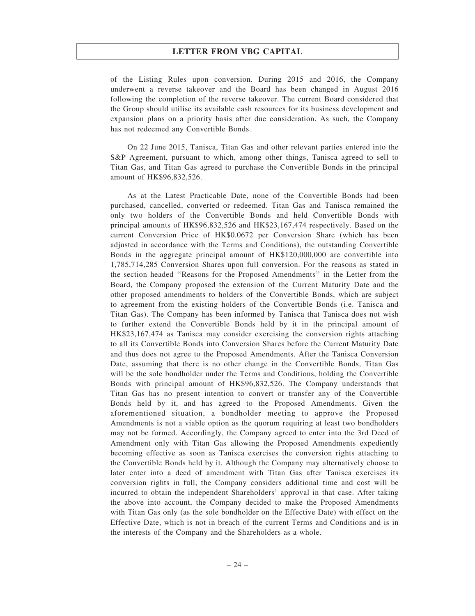of the Listing Rules upon conversion. During 2015 and 2016, the Company underwent a reverse takeover and the Board has been changed in August 2016 following the completion of the reverse takeover. The current Board considered that the Group should utilise its available cash resources for its business development and expansion plans on a priority basis after due consideration. As such, the Company has not redeemed any Convertible Bonds.

On 22 June 2015, Tanisca, Titan Gas and other relevant parties entered into the S&P Agreement, pursuant to which, among other things, Tanisca agreed to sell to Titan Gas, and Titan Gas agreed to purchase the Convertible Bonds in the principal amount of HK\$96,832,526.

As at the Latest Practicable Date, none of the Convertible Bonds had been purchased, cancelled, converted or redeemed. Titan Gas and Tanisca remained the only two holders of the Convertible Bonds and held Convertible Bonds with principal amounts of HK\$96,832,526 and HK\$23,167,474 respectively. Based on the current Conversion Price of HK\$0.0672 per Conversion Share (which has been adjusted in accordance with the Terms and Conditions), the outstanding Convertible Bonds in the aggregate principal amount of HK\$120,000,000 are convertible into 1,785,714,285 Conversion Shares upon full conversion. For the reasons as stated in the section headed ''Reasons for the Proposed Amendments'' in the Letter from the Board, the Company proposed the extension of the Current Maturity Date and the other proposed amendments to holders of the Convertible Bonds, which are subject to agreement from the existing holders of the Convertible Bonds (i.e. Tanisca and Titan Gas). The Company has been informed by Tanisca that Tanisca does not wish to further extend the Convertible Bonds held by it in the principal amount of HK\$23,167,474 as Tanisca may consider exercising the conversion rights attaching to all its Convertible Bonds into Conversion Shares before the Current Maturity Date and thus does not agree to the Proposed Amendments. After the Tanisca Conversion Date, assuming that there is no other change in the Convertible Bonds, Titan Gas will be the sole bondholder under the Terms and Conditions, holding the Convertible Bonds with principal amount of HK\$96,832,526. The Company understands that Titan Gas has no present intention to convert or transfer any of the Convertible Bonds held by it, and has agreed to the Proposed Amendments. Given the aforementioned situation, a bondholder meeting to approve the Proposed Amendments is not a viable option as the quorum requiring at least two bondholders may not be formed. Accordingly, the Company agreed to enter into the 3rd Deed of Amendment only with Titan Gas allowing the Proposed Amendments expediently becoming effective as soon as Tanisca exercises the conversion rights attaching to the Convertible Bonds held by it. Although the Company may alternatively choose to later enter into a deed of amendment with Titan Gas after Tanisca exercises its conversion rights in full, the Company considers additional time and cost will be incurred to obtain the independent Shareholders' approval in that case. After taking the above into account, the Company decided to make the Proposed Amendments with Titan Gas only (as the sole bondholder on the Effective Date) with effect on the Effective Date, which is not in breach of the current Terms and Conditions and is in the interests of the Company and the Shareholders as a whole.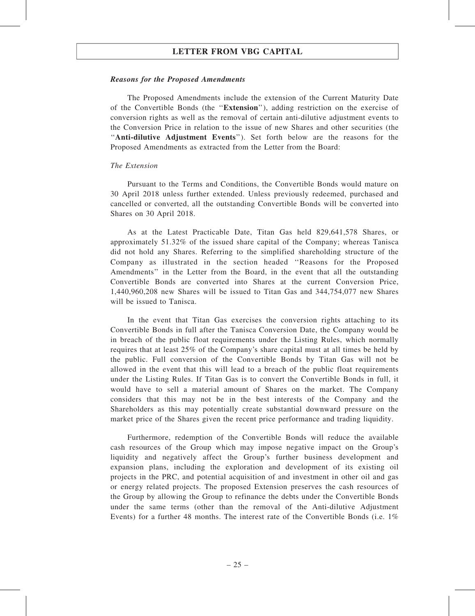#### Reasons for the Proposed Amendments

The Proposed Amendments include the extension of the Current Maturity Date of the Convertible Bonds (the ''Extension''), adding restriction on the exercise of conversion rights as well as the removal of certain anti-dilutive adjustment events to the Conversion Price in relation to the issue of new Shares and other securities (the ''Anti-dilutive Adjustment Events''). Set forth below are the reasons for the Proposed Amendments as extracted from the Letter from the Board:

#### The Extension

Pursuant to the Terms and Conditions, the Convertible Bonds would mature on 30 April 2018 unless further extended. Unless previously redeemed, purchased and cancelled or converted, all the outstanding Convertible Bonds will be converted into Shares on 30 April 2018.

As at the Latest Practicable Date, Titan Gas held 829,641,578 Shares, or approximately 51.32% of the issued share capital of the Company; whereas Tanisca did not hold any Shares. Referring to the simplified shareholding structure of the Company as illustrated in the section headed ''Reasons for the Proposed Amendments'' in the Letter from the Board, in the event that all the outstanding Convertible Bonds are converted into Shares at the current Conversion Price, 1,440,960,208 new Shares will be issued to Titan Gas and 344,754,077 new Shares will be issued to Tanisca.

In the event that Titan Gas exercises the conversion rights attaching to its Convertible Bonds in full after the Tanisca Conversion Date, the Company would be in breach of the public float requirements under the Listing Rules, which normally requires that at least 25% of the Company's share capital must at all times be held by the public. Full conversion of the Convertible Bonds by Titan Gas will not be allowed in the event that this will lead to a breach of the public float requirements under the Listing Rules. If Titan Gas is to convert the Convertible Bonds in full, it would have to sell a material amount of Shares on the market. The Company considers that this may not be in the best interests of the Company and the Shareholders as this may potentially create substantial downward pressure on the market price of the Shares given the recent price performance and trading liquidity.

Furthermore, redemption of the Convertible Bonds will reduce the available cash resources of the Group which may impose negative impact on the Group's liquidity and negatively affect the Group's further business development and expansion plans, including the exploration and development of its existing oil projects in the PRC, and potential acquisition of and investment in other oil and gas or energy related projects. The proposed Extension preserves the cash resources of the Group by allowing the Group to refinance the debts under the Convertible Bonds under the same terms (other than the removal of the Anti-dilutive Adjustment Events) for a further 48 months. The interest rate of the Convertible Bonds (i.e. 1%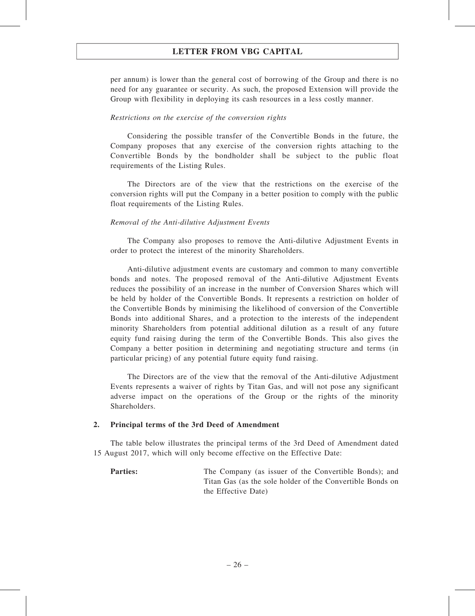per annum) is lower than the general cost of borrowing of the Group and there is no need for any guarantee or security. As such, the proposed Extension will provide the Group with flexibility in deploying its cash resources in a less costly manner.

#### Restrictions on the exercise of the conversion rights

Considering the possible transfer of the Convertible Bonds in the future, the Company proposes that any exercise of the conversion rights attaching to the Convertible Bonds by the bondholder shall be subject to the public float requirements of the Listing Rules.

The Directors are of the view that the restrictions on the exercise of the conversion rights will put the Company in a better position to comply with the public float requirements of the Listing Rules.

#### Removal of the Anti-dilutive Adjustment Events

The Company also proposes to remove the Anti-dilutive Adjustment Events in order to protect the interest of the minority Shareholders.

Anti-dilutive adjustment events are customary and common to many convertible bonds and notes. The proposed removal of the Anti-dilutive Adjustment Events reduces the possibility of an increase in the number of Conversion Shares which will be held by holder of the Convertible Bonds. It represents a restriction on holder of the Convertible Bonds by minimising the likelihood of conversion of the Convertible Bonds into additional Shares, and a protection to the interests of the independent minority Shareholders from potential additional dilution as a result of any future equity fund raising during the term of the Convertible Bonds. This also gives the Company a better position in determining and negotiating structure and terms (in particular pricing) of any potential future equity fund raising.

The Directors are of the view that the removal of the Anti-dilutive Adjustment Events represents a waiver of rights by Titan Gas, and will not pose any significant adverse impact on the operations of the Group or the rights of the minority Shareholders.

#### 2. Principal terms of the 3rd Deed of Amendment

The table below illustrates the principal terms of the 3rd Deed of Amendment dated 15 August 2017, which will only become effective on the Effective Date:

**Parties:** The Company (as issuer of the Convertible Bonds); and Titan Gas (as the sole holder of the Convertible Bonds on the Effective Date)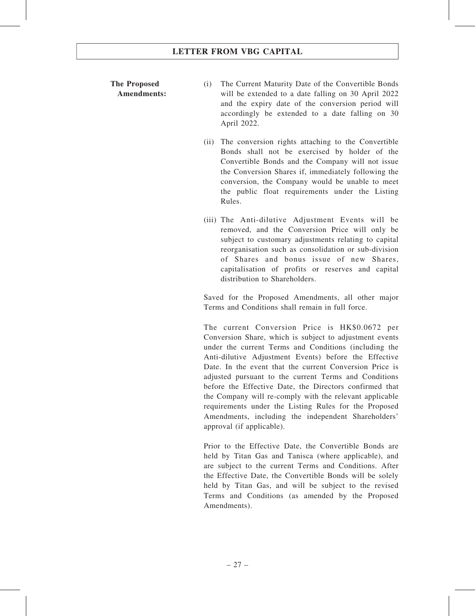#### The Proposed Amendments:

- (i) The Current Maturity Date of the Convertible Bonds will be extended to a date falling on 30 April 2022 and the expiry date of the conversion period will accordingly be extended to a date falling on 30 April 2022.
- (ii) The conversion rights attaching to the Convertible Bonds shall not be exercised by holder of the Convertible Bonds and the Company will not issue the Conversion Shares if, immediately following the conversion, the Company would be unable to meet the public float requirements under the Listing Rules.
- (iii) The Anti-dilutive Adjustment Events will be removed, and the Conversion Price will only be subject to customary adjustments relating to capital reorganisation such as consolidation or sub-division of Shares and bonus issue of new Shares, capitalisation of profits or reserves and capital distribution to Shareholders.

Saved for the Proposed Amendments, all other major Terms and Conditions shall remain in full force.

The current Conversion Price is HK\$0.0672 per Conversion Share, which is subject to adjustment events under the current Terms and Conditions (including the Anti-dilutive Adjustment Events) before the Effective Date. In the event that the current Conversion Price is adjusted pursuant to the current Terms and Conditions before the Effective Date, the Directors confirmed that the Company will re-comply with the relevant applicable requirements under the Listing Rules for the Proposed Amendments, including the independent Shareholders' approval (if applicable).

Prior to the Effective Date, the Convertible Bonds are held by Titan Gas and Tanisca (where applicable), and are subject to the current Terms and Conditions. After the Effective Date, the Convertible Bonds will be solely held by Titan Gas, and will be subject to the revised Terms and Conditions (as amended by the Proposed Amendments).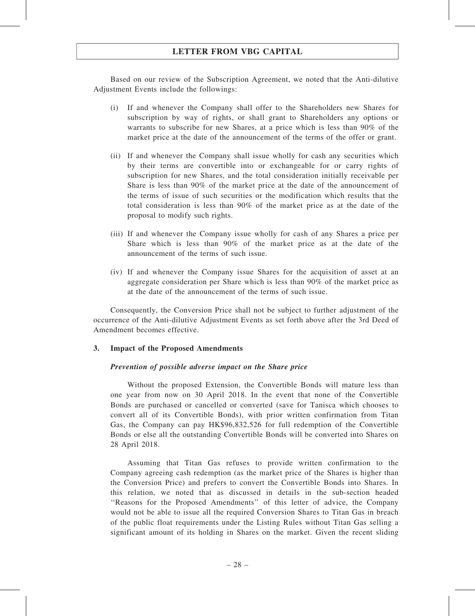Based on our review of the Subscription Agreement, we noted that the Anti-dilutive Adjustment Events include the followings:

- (i) If and whenever the Company shall offer to the Shareholders new Shares for subscription by way of rights, or shall grant to Shareholders any options or warrants to subscribe for new Shares, at a price which is less than 90% of the market price at the date of the announcement of the terms of the offer or grant.
- (ii) If and whenever the Company shall issue wholly for cash any securities which by their terms are convertible into or exchangeable for or carry rights of subscription for new Shares, and the total consideration initially receivable per Share is less than 90% of the market price at the date of the announcement of the terms of issue of such securities or the modification which results that the total consideration is less than 90% of the market price as at the date of the proposal to modify such rights.
- (iii) If and whenever the Company issue wholly for cash of any Shares a price per Share which is less than 90% of the market price as at the date of the announcement of the terms of such issue.
- (iv) If and whenever the Company issue Shares for the acquisition of asset at an aggregate consideration per Share which is less than 90% of the market price as at the date of the announcement of the terms of such issue.

Consequently, the Conversion Price shall not be subject to further adjustment of the occurrence of the Anti-dilutive Adjustment Events as set forth above after the 3rd Deed of Amendment becomes effective.

#### 3. Impact of the Proposed Amendments

#### Prevention of possible adverse impact on the Share price

Without the proposed Extension, the Convertible Bonds will mature less than one year from now on 30 April 2018. In the event that none of the Convertible Bonds are purchased or cancelled or converted (save for Tanisca which chooses to convert all of its Convertible Bonds), with prior written confirmation from Titan Gas, the Company can pay HK\$96,832,526 for full redemption of the Convertible Bonds or else all the outstanding Convertible Bonds will be converted into Shares on 28 April 2018.

Assuming that Titan Gas refuses to provide written confirmation to the Company agreeing cash redemption (as the market price of the Shares is higher than the Conversion Price) and prefers to convert the Convertible Bonds into Shares. In this relation, we noted that as discussed in details in the sub-section headed ''Reasons for the Proposed Amendments'' of this letter of advice, the Company would not be able to issue all the required Conversion Shares to Titan Gas in breach of the public float requirements under the Listing Rules without Titan Gas selling a significant amount of its holding in Shares on the market. Given the recent sliding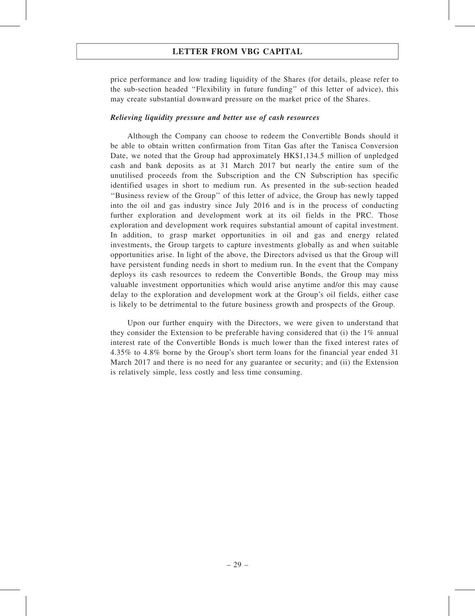price performance and low trading liquidity of the Shares (for details, please refer to the sub-section headed ''Flexibility in future funding'' of this letter of advice), this may create substantial downward pressure on the market price of the Shares.

#### Relieving liquidity pressure and better use of cash resources

Although the Company can choose to redeem the Convertible Bonds should it be able to obtain written confirmation from Titan Gas after the Tanisca Conversion Date, we noted that the Group had approximately HK\$1,134.5 million of unpledged cash and bank deposits as at 31 March 2017 but nearly the entire sum of the unutilised proceeds from the Subscription and the CN Subscription has specific identified usages in short to medium run. As presented in the sub-section headed ''Business review of the Group'' of this letter of advice, the Group has newly tapped into the oil and gas industry since July 2016 and is in the process of conducting further exploration and development work at its oil fields in the PRC. Those exploration and development work requires substantial amount of capital investment. In addition, to grasp market opportunities in oil and gas and energy related investments, the Group targets to capture investments globally as and when suitable opportunities arise. In light of the above, the Directors advised us that the Group will have persistent funding needs in short to medium run. In the event that the Company deploys its cash resources to redeem the Convertible Bonds, the Group may miss valuable investment opportunities which would arise anytime and/or this may cause delay to the exploration and development work at the Group's oil fields, either case is likely to be detrimental to the future business growth and prospects of the Group.

Upon our further enquiry with the Directors, we were given to understand that they consider the Extension to be preferable having considered that (i) the  $1\%$  annual interest rate of the Convertible Bonds is much lower than the fixed interest rates of 4.35% to 4.8% borne by the Group's short term loans for the financial year ended 31 March 2017 and there is no need for any guarantee or security; and (ii) the Extension is relatively simple, less costly and less time consuming.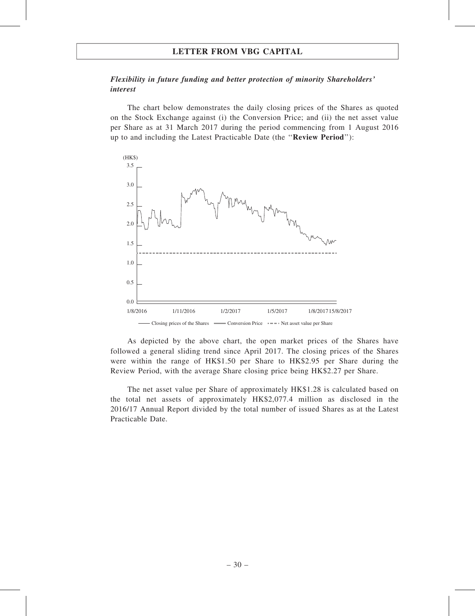#### Flexibility in future funding and better protection of minority Shareholders' interest

The chart below demonstrates the daily closing prices of the Shares as quoted on the Stock Exchange against (i) the Conversion Price; and (ii) the net asset value per Share as at 31 March 2017 during the period commencing from 1 August 2016 up to and including the Latest Practicable Date (the ''Review Period''):



As depicted by the above chart, the open market prices of the Shares have followed a general sliding trend since April 2017. The closing prices of the Shares were within the range of HK\$1.50 per Share to HK\$2.95 per Share during the Review Period, with the average Share closing price being HK\$2.27 per Share.

The net asset value per Share of approximately HK\$1.28 is calculated based on the total net assets of approximately HK\$2,077.4 million as disclosed in the 2016/17 Annual Report divided by the total number of issued Shares as at the Latest Practicable Date.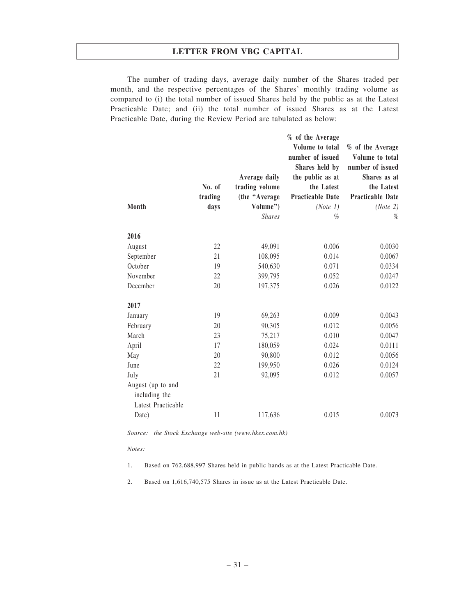The number of trading days, average daily number of the Shares traded per month, and the respective percentages of the Shares' monthly trading volume as compared to (i) the total number of issued Shares held by the public as at the Latest Practicable Date; and (ii) the total number of issued Shares as at the Latest Practicable Date, during the Review Period are tabulated as below:

|                    |         |                | % of the Average        |                         |
|--------------------|---------|----------------|-------------------------|-------------------------|
|                    |         |                | Volume to total         | % of the Average        |
|                    |         |                | number of issued        | Volume to total         |
|                    |         |                | Shares held by          | number of issued        |
|                    |         | Average daily  | the public as at        | Shares as at            |
|                    | No. of  | trading volume | the Latest              | the Latest              |
|                    | trading | (the "Average" | <b>Practicable Date</b> | <b>Practicable Date</b> |
| <b>Month</b>       | days    | Volume")       | (Note 1)                | (Note 2)                |
|                    |         | <b>Shares</b>  | $\%$                    | $\%$                    |
| 2016               |         |                |                         |                         |
| August             | 22      | 49,091         | 0.006                   | 0.0030                  |
| September          | 21      | 108,095        | 0.014                   | 0.0067                  |
| October            | 19      | 540,630        | 0.071                   | 0.0334                  |
| November           | 22      | 399,795        | 0.052                   | 0.0247                  |
| December           | 20      | 197,375        | 0.026                   | 0.0122                  |
| 2017               |         |                |                         |                         |
| January            | 19      | 69,263         | 0.009                   | 0.0043                  |
| February           | 20      | 90,305         | 0.012                   | 0.0056                  |
| March              | 23      | 75,217         | 0.010                   | 0.0047                  |
| April              | 17      | 180,059        | 0.024                   | 0.0111                  |
| May                | 20      | 90,800         | 0.012                   | 0.0056                  |
| June               | 22      | 199,950        | 0.026                   | 0.0124                  |
| July               | 21      | 92,095         | 0.012                   | 0.0057                  |
| August (up to and  |         |                |                         |                         |
| including the      |         |                |                         |                         |
| Latest Practicable |         |                |                         |                         |
| Date)              | 11      | 117,636        | 0.015                   | 0.0073                  |
|                    |         |                |                         |                         |

Source: the Stock Exchange web-site (www.hkex.com.hk)

#### Notes:

1. Based on 762,688,997 Shares held in public hands as at the Latest Practicable Date.

2. Based on 1,616,740,575 Shares in issue as at the Latest Practicable Date.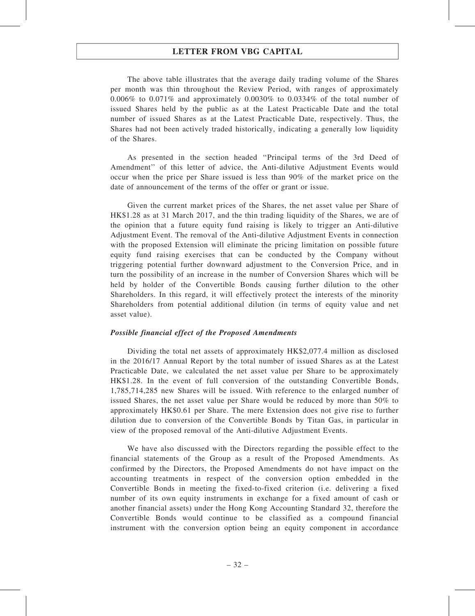The above table illustrates that the average daily trading volume of the Shares per month was thin throughout the Review Period, with ranges of approximately 0.006% to 0.071% and approximately 0.0030% to 0.0334% of the total number of issued Shares held by the public as at the Latest Practicable Date and the total number of issued Shares as at the Latest Practicable Date, respectively. Thus, the Shares had not been actively traded historically, indicating a generally low liquidity of the Shares.

As presented in the section headed ''Principal terms of the 3rd Deed of Amendment'' of this letter of advice, the Anti-dilutive Adjustment Events would occur when the price per Share issued is less than 90% of the market price on the date of announcement of the terms of the offer or grant or issue.

Given the current market prices of the Shares, the net asset value per Share of HK\$1.28 as at 31 March 2017, and the thin trading liquidity of the Shares, we are of the opinion that a future equity fund raising is likely to trigger an Anti-dilutive Adjustment Event. The removal of the Anti-dilutive Adjustment Events in connection with the proposed Extension will eliminate the pricing limitation on possible future equity fund raising exercises that can be conducted by the Company without triggering potential further downward adjustment to the Conversion Price, and in turn the possibility of an increase in the number of Conversion Shares which will be held by holder of the Convertible Bonds causing further dilution to the other Shareholders. In this regard, it will effectively protect the interests of the minority Shareholders from potential additional dilution (in terms of equity value and net asset value).

#### Possible financial effect of the Proposed Amendments

Dividing the total net assets of approximately HK\$2,077.4 million as disclosed in the 2016/17 Annual Report by the total number of issued Shares as at the Latest Practicable Date, we calculated the net asset value per Share to be approximately HK\$1.28. In the event of full conversion of the outstanding Convertible Bonds, 1,785,714,285 new Shares will be issued. With reference to the enlarged number of issued Shares, the net asset value per Share would be reduced by more than 50% to approximately HK\$0.61 per Share. The mere Extension does not give rise to further dilution due to conversion of the Convertible Bonds by Titan Gas, in particular in view of the proposed removal of the Anti-dilutive Adjustment Events.

We have also discussed with the Directors regarding the possible effect to the financial statements of the Group as a result of the Proposed Amendments. As confirmed by the Directors, the Proposed Amendments do not have impact on the accounting treatments in respect of the conversion option embedded in the Convertible Bonds in meeting the fixed-to-fixed criterion (i.e. delivering a fixed number of its own equity instruments in exchange for a fixed amount of cash or another financial assets) under the Hong Kong Accounting Standard 32, therefore the Convertible Bonds would continue to be classified as a compound financial instrument with the conversion option being an equity component in accordance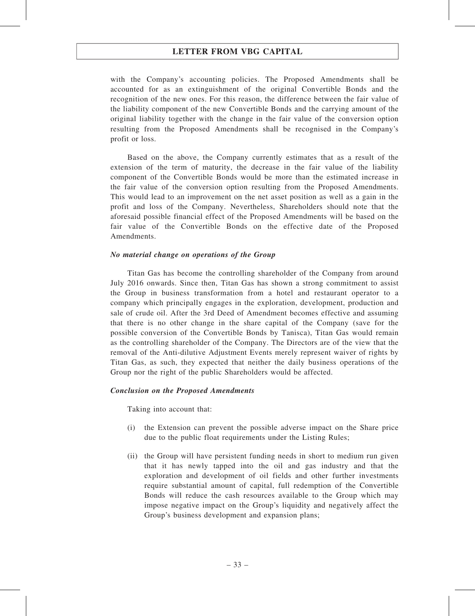with the Company's accounting policies. The Proposed Amendments shall be accounted for as an extinguishment of the original Convertible Bonds and the recognition of the new ones. For this reason, the difference between the fair value of the liability component of the new Convertible Bonds and the carrying amount of the original liability together with the change in the fair value of the conversion option resulting from the Proposed Amendments shall be recognised in the Company's profit or loss.

Based on the above, the Company currently estimates that as a result of the extension of the term of maturity, the decrease in the fair value of the liability component of the Convertible Bonds would be more than the estimated increase in the fair value of the conversion option resulting from the Proposed Amendments. This would lead to an improvement on the net asset position as well as a gain in the profit and loss of the Company. Nevertheless, Shareholders should note that the aforesaid possible financial effect of the Proposed Amendments will be based on the fair value of the Convertible Bonds on the effective date of the Proposed Amendments.

#### No material change on operations of the Group

Titan Gas has become the controlling shareholder of the Company from around July 2016 onwards. Since then, Titan Gas has shown a strong commitment to assist the Group in business transformation from a hotel and restaurant operator to a company which principally engages in the exploration, development, production and sale of crude oil. After the 3rd Deed of Amendment becomes effective and assuming that there is no other change in the share capital of the Company (save for the possible conversion of the Convertible Bonds by Tanisca), Titan Gas would remain as the controlling shareholder of the Company. The Directors are of the view that the removal of the Anti-dilutive Adjustment Events merely represent waiver of rights by Titan Gas, as such, they expected that neither the daily business operations of the Group nor the right of the public Shareholders would be affected.

#### Conclusion on the Proposed Amendments

Taking into account that:

- (i) the Extension can prevent the possible adverse impact on the Share price due to the public float requirements under the Listing Rules;
- (ii) the Group will have persistent funding needs in short to medium run given that it has newly tapped into the oil and gas industry and that the exploration and development of oil fields and other further investments require substantial amount of capital, full redemption of the Convertible Bonds will reduce the cash resources available to the Group which may impose negative impact on the Group's liquidity and negatively affect the Group's business development and expansion plans;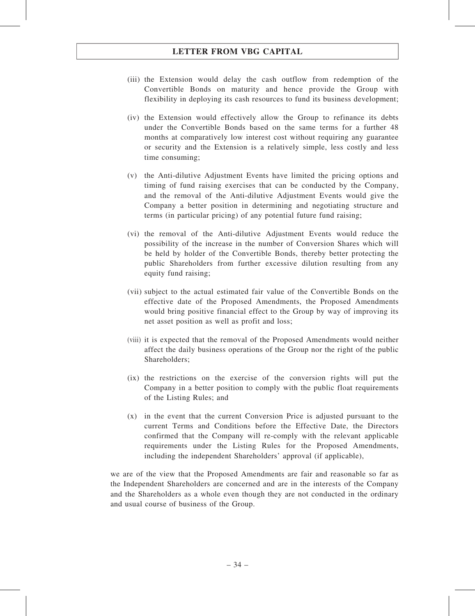- (iii) the Extension would delay the cash outflow from redemption of the Convertible Bonds on maturity and hence provide the Group with flexibility in deploying its cash resources to fund its business development;
- (iv) the Extension would effectively allow the Group to refinance its debts under the Convertible Bonds based on the same terms for a further 48 months at comparatively low interest cost without requiring any guarantee or security and the Extension is a relatively simple, less costly and less time consuming;
- (v) the Anti-dilutive Adjustment Events have limited the pricing options and timing of fund raising exercises that can be conducted by the Company, and the removal of the Anti-dilutive Adjustment Events would give the Company a better position in determining and negotiating structure and terms (in particular pricing) of any potential future fund raising;
- (vi) the removal of the Anti-dilutive Adjustment Events would reduce the possibility of the increase in the number of Conversion Shares which will be held by holder of the Convertible Bonds, thereby better protecting the public Shareholders from further excessive dilution resulting from any equity fund raising;
- (vii) subject to the actual estimated fair value of the Convertible Bonds on the effective date of the Proposed Amendments, the Proposed Amendments would bring positive financial effect to the Group by way of improving its net asset position as well as profit and loss;
- (viii) it is expected that the removal of the Proposed Amendments would neither affect the daily business operations of the Group nor the right of the public Shareholders;
- (ix) the restrictions on the exercise of the conversion rights will put the Company in a better position to comply with the public float requirements of the Listing Rules; and
- (x) in the event that the current Conversion Price is adjusted pursuant to the current Terms and Conditions before the Effective Date, the Directors confirmed that the Company will re-comply with the relevant applicable requirements under the Listing Rules for the Proposed Amendments, including the independent Shareholders' approval (if applicable),

we are of the view that the Proposed Amendments are fair and reasonable so far as the Independent Shareholders are concerned and are in the interests of the Company and the Shareholders as a whole even though they are not conducted in the ordinary and usual course of business of the Group.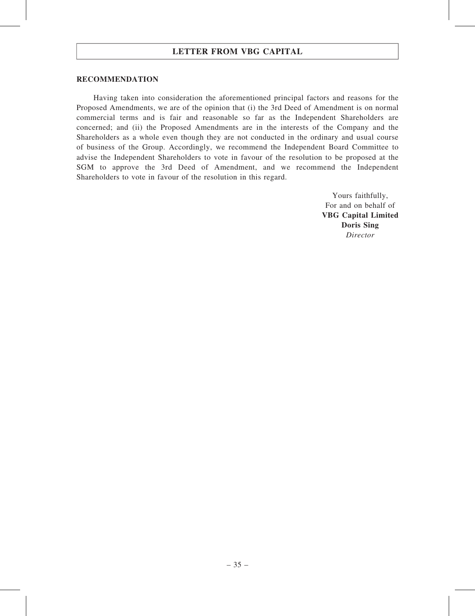#### RECOMMENDATION

Having taken into consideration the aforementioned principal factors and reasons for the Proposed Amendments, we are of the opinion that (i) the 3rd Deed of Amendment is on normal commercial terms and is fair and reasonable so far as the Independent Shareholders are concerned; and (ii) the Proposed Amendments are in the interests of the Company and the Shareholders as a whole even though they are not conducted in the ordinary and usual course of business of the Group. Accordingly, we recommend the Independent Board Committee to advise the Independent Shareholders to vote in favour of the resolution to be proposed at the SGM to approve the 3rd Deed of Amendment, and we recommend the Independent Shareholders to vote in favour of the resolution in this regard.

> Yours faithfully, For and on behalf of VBG Capital Limited Doris Sing Director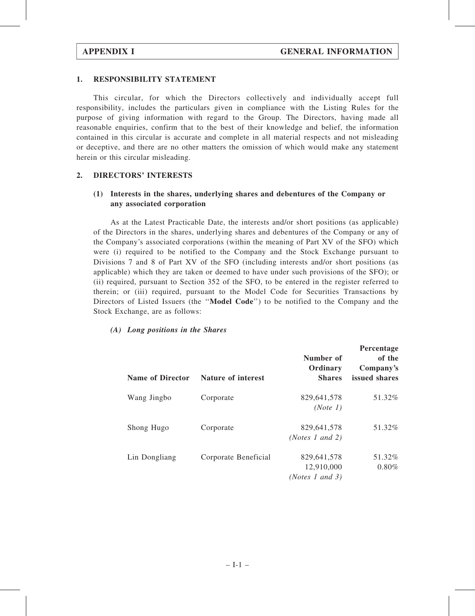#### 1. RESPONSIBILITY STATEMENT

This circular, for which the Directors collectively and individually accept full responsibility, includes the particulars given in compliance with the Listing Rules for the purpose of giving information with regard to the Group. The Directors, having made all reasonable enquiries, confirm that to the best of their knowledge and belief, the information contained in this circular is accurate and complete in all material respects and not misleading or deceptive, and there are no other matters the omission of which would make any statement herein or this circular misleading.

#### 2. DIRECTORS' INTERESTS

#### (1) Interests in the shares, underlying shares and debentures of the Company or any associated corporation

As at the Latest Practicable Date, the interests and/or short positions (as applicable) of the Directors in the shares, underlying shares and debentures of the Company or any of the Company's associated corporations (within the meaning of Part XV of the SFO) which were (i) required to be notified to the Company and the Stock Exchange pursuant to Divisions 7 and 8 of Part XV of the SFO (including interests and/or short positions (as applicable) which they are taken or deemed to have under such provisions of the SFO); or (ii) required, pursuant to Section 352 of the SFO, to be entered in the register referred to therein; or (iii) required, pursuant to the Model Code for Securities Transactions by Directors of Listed Issuers (the ''Model Code'') to be notified to the Company and the Stock Exchange, are as follows:

#### (A) Long positions in the Shares

| <b>Name of Director</b> | <b>Nature of interest</b> | Number of<br>Ordinary<br><b>Shares</b>       | Percentage<br>of the<br>Company's<br>issued shares |
|-------------------------|---------------------------|----------------------------------------------|----------------------------------------------------|
| Wang Jingbo             | Corporate                 | 829,641,578<br>(Note 1)                      | 51.32%                                             |
| Shong Hugo              | Corporate                 | 829,641,578<br>( <i>Notes 1 and 2</i> )      | 51.32%                                             |
| Lin Dongliang           | Corporate Beneficial      | 829,641,578<br>12,910,000<br>(Notes 1 and 3) | 51.32%<br>0.80%                                    |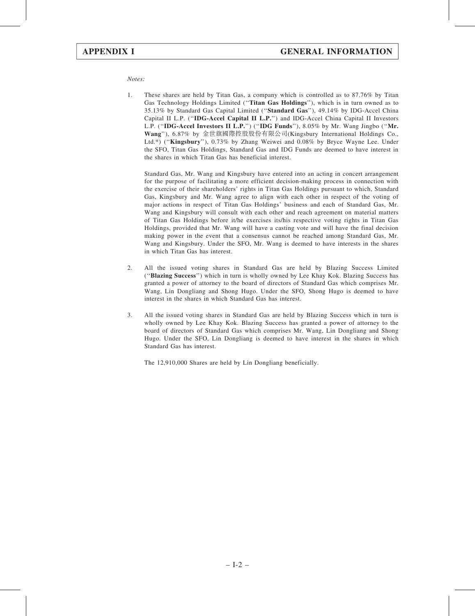#### Notes:

1. These shares are held by Titan Gas, a company which is controlled as to 87.76% by Titan Gas Technology Holdings Limited ("Titan Gas Holdings"), which is in turn owned as to 35.13% by Standard Gas Capital Limited (''Standard Gas''), 49.14% by IDG-Accel China Capital II L.P. (''IDG-Accel Capital II L.P.'') and IDG-Accel China Capital II Investors L.P. (''IDG-Accel Investors II L.P.'') (''IDG Funds''), 8.05% by Mr. Wang Jingbo (''Mr. Wang''), 6.87% by 金世旗國際控股股份有限公司(Kingsbury International Holdings Co., Ltd.\*) (''Kingsbury''), 0.73% by Zhang Weiwei and 0.08% by Bryce Wayne Lee. Under the SFO, Titan Gas Holdings, Standard Gas and IDG Funds are deemed to have interest in the shares in which Titan Gas has beneficial interest.

Standard Gas, Mr. Wang and Kingsbury have entered into an acting in concert arrangement for the purpose of facilitating a more efficient decision-making process in connection with the exercise of their shareholders' rights in Titan Gas Holdings pursuant to which, Standard Gas, Kingsbury and Mr. Wang agree to align with each other in respect of the voting of major actions in respect of Titan Gas Holdings' business and each of Standard Gas, Mr. Wang and Kingsbury will consult with each other and reach agreement on material matters of Titan Gas Holdings before it/he exercises its/his respective voting rights in Titan Gas Holdings, provided that Mr. Wang will have a casting vote and will have the final decision making power in the event that a consensus cannot be reached among Standard Gas, Mr. Wang and Kingsbury. Under the SFO, Mr. Wang is deemed to have interests in the shares in which Titan Gas has interest.

- 2. All the issued voting shares in Standard Gas are held by Blazing Success Limited (''Blazing Success'') which in turn is wholly owned by Lee Khay Kok. Blazing Success has granted a power of attorney to the board of directors of Standard Gas which comprises Mr. Wang, Lin Dongliang and Shong Hugo. Under the SFO, Shong Hugo is deemed to have interest in the shares in which Standard Gas has interest.
- 3. All the issued voting shares in Standard Gas are held by Blazing Success which in turn is wholly owned by Lee Khay Kok. Blazing Success has granted a power of attorney to the board of directors of Standard Gas which comprises Mr. Wang, Lin Dongliang and Shong Hugo. Under the SFO, Lin Dongliang is deemed to have interest in the shares in which Standard Gas has interest.

The 12,910,000 Shares are held by Lin Dongliang beneficially.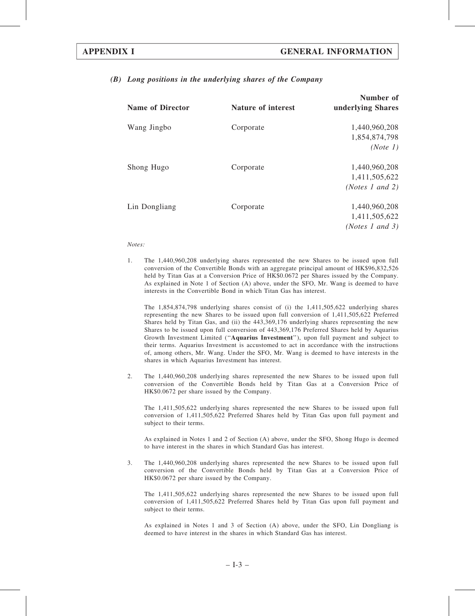#### (B) Long positions in the underlying shares of the Company

| <b>Name of Director</b> | Nature of interest | Number of<br>underlying Shares |
|-------------------------|--------------------|--------------------------------|
| Wang Jingbo             | Corporate          | 1,440,960,208                  |
|                         |                    | 1,854,874,798                  |
|                         |                    | (Note 1)                       |
| Shong Hugo              | Corporate          | 1,440,960,208                  |
|                         |                    | 1,411,505,622                  |
|                         |                    | ( <i>Notes 1 and 2</i> )       |
| Lin Dongliang           | Corporate          | 1,440,960,208                  |
|                         |                    | 1,411,505,622                  |
|                         |                    | ( <i>Notes 1 and 3</i> )       |

#### Notes:

1. The 1,440,960,208 underlying shares represented the new Shares to be issued upon full conversion of the Convertible Bonds with an aggregate principal amount of HK\$96,832,526 held by Titan Gas at a Conversion Price of HK\$0.0672 per Shares issued by the Company. As explained in Note 1 of Section (A) above, under the SFO, Mr. Wang is deemed to have interests in the Convertible Bond in which Titan Gas has interest.

The 1,854,874,798 underlying shares consist of (i) the 1,411,505,622 underlying shares representing the new Shares to be issued upon full conversion of 1,411,505,622 Preferred Shares held by Titan Gas, and (ii) the 443,369,176 underlying shares representing the new Shares to be issued upon full conversion of 443,369,176 Preferred Shares held by Aquarius Growth Investment Limited (''Aquarius Investment''), upon full payment and subject to their terms. Aquarius Investment is accustomed to act in accordance with the instructions of, among others, Mr. Wang. Under the SFO, Mr. Wang is deemed to have interests in the shares in which Aquarius Investment has interest.

2. The 1,440,960,208 underlying shares represented the new Shares to be issued upon full conversion of the Convertible Bonds held by Titan Gas at a Conversion Price of HK\$0.0672 per share issued by the Company.

The 1,411,505,622 underlying shares represented the new Shares to be issued upon full conversion of 1,411,505,622 Preferred Shares held by Titan Gas upon full payment and subject to their terms.

As explained in Notes 1 and 2 of Section (A) above, under the SFO, Shong Hugo is deemed to have interest in the shares in which Standard Gas has interest.

3. The 1,440,960,208 underlying shares represented the new Shares to be issued upon full conversion of the Convertible Bonds held by Titan Gas at a Conversion Price of HK\$0.0672 per share issued by the Company.

The 1,411,505,622 underlying shares represented the new Shares to be issued upon full conversion of 1,411,505,622 Preferred Shares held by Titan Gas upon full payment and subject to their terms.

As explained in Notes 1 and 3 of Section (A) above, under the SFO, Lin Dongliang is deemed to have interest in the shares in which Standard Gas has interest.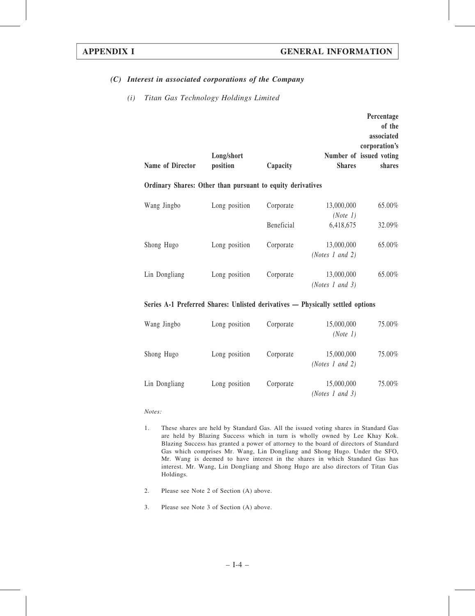#### (C) Interest in associated corporations of the Company

#### (i) Titan Gas Technology Holdings Limited

| Name of Director                                           | Long/short<br>position | Capacity   | <b>Shares</b>                          | Percentage<br>of the<br>associated<br>corporation's<br>Number of issued voting<br>shares |
|------------------------------------------------------------|------------------------|------------|----------------------------------------|------------------------------------------------------------------------------------------|
| Ordinary Shares: Other than pursuant to equity derivatives |                        |            |                                        |                                                                                          |
| Wang Jingbo                                                | Long position          | Corporate  | 13,000,000<br>(Note 1)                 | 65.00%                                                                                   |
|                                                            |                        | Beneficial | 6,418,675                              | 32.09%                                                                                   |
| Shong Hugo                                                 | Long position          | Corporate  | 13,000,000<br>( <i>Notes 1 and 2</i> ) | 65.00%                                                                                   |
| Lin Dongliang                                              | Long position          | Corporate  | 13,000,000<br>(Notes 1 and 3)          | 65.00%                                                                                   |

#### Series A-1 Preferred Shares: Unlisted derivatives — Physically settled options

| Wang Jingbo   | Long position | Corporate | 15,000,000<br>(Note 1)                 | 75.00% |
|---------------|---------------|-----------|----------------------------------------|--------|
| Shong Hugo    | Long position | Corporate | 15,000,000<br>( <i>Notes 1 and 2</i> ) | 75.00% |
| Lin Dongliang | Long position | Corporate | 15,000,000<br>(Notes 1 and 3)          | 75.00% |

#### Notes:

- 1. These shares are held by Standard Gas. All the issued voting shares in Standard Gas are held by Blazing Success which in turn is wholly owned by Lee Khay Kok. Blazing Success has granted a power of attorney to the board of directors of Standard Gas which comprises Mr. Wang, Lin Dongliang and Shong Hugo. Under the SFO, Mr. Wang is deemed to have interest in the shares in which Standard Gas has interest. Mr. Wang, Lin Dongliang and Shong Hugo are also directors of Titan Gas Holdings.
- 2. Please see Note 2 of Section (A) above.
- 3. Please see Note 3 of Section (A) above.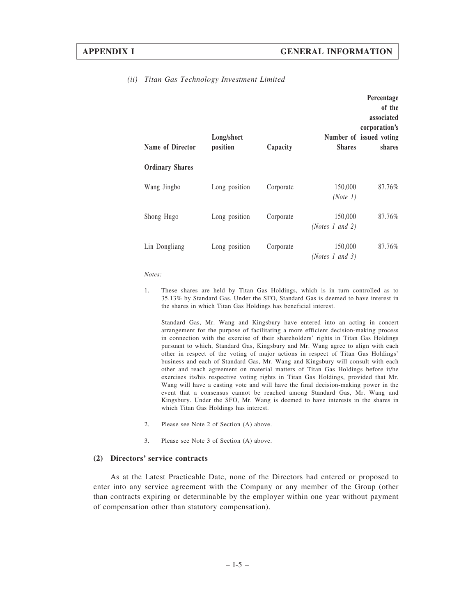| Name of Director       | Long/short<br>position | Capacity  | <b>Shares</b>              | Percentage<br>of the<br>associated<br>corporation's<br>Number of issued voting<br>shares |
|------------------------|------------------------|-----------|----------------------------|------------------------------------------------------------------------------------------|
| <b>Ordinary Shares</b> |                        |           |                            |                                                                                          |
| Wang Jingbo            | Long position          | Corporate | 150,000<br>(Note 1)        | 87.76%                                                                                   |
| Shong Hugo             | Long position          | Corporate | 150,000<br>(Notes 1 and 2) | 87.76%                                                                                   |
| Lin Dongliang          | Long position          | Corporate | 150,000<br>(Notes 1 and 3) | 87.76%                                                                                   |

#### (ii) Titan Gas Technology Investment Limited

#### Notes:

1. These shares are held by Titan Gas Holdings, which is in turn controlled as to 35.13% by Standard Gas. Under the SFO, Standard Gas is deemed to have interest in the shares in which Titan Gas Holdings has beneficial interest.

Standard Gas, Mr. Wang and Kingsbury have entered into an acting in concert arrangement for the purpose of facilitating a more efficient decision-making process in connection with the exercise of their shareholders' rights in Titan Gas Holdings pursuant to which, Standard Gas, Kingsbury and Mr. Wang agree to align with each other in respect of the voting of major actions in respect of Titan Gas Holdings' business and each of Standard Gas, Mr. Wang and Kingsbury will consult with each other and reach agreement on material matters of Titan Gas Holdings before it/he exercises its/his respective voting rights in Titan Gas Holdings, provided that Mr. Wang will have a casting vote and will have the final decision-making power in the event that a consensus cannot be reached among Standard Gas, Mr. Wang and Kingsbury. Under the SFO, Mr. Wang is deemed to have interests in the shares in which Titan Gas Holdings has interest.

- 2. Please see Note 2 of Section (A) above.
- 3. Please see Note 3 of Section (A) above.

#### (2) Directors' service contracts

As at the Latest Practicable Date, none of the Directors had entered or proposed to enter into any service agreement with the Company or any member of the Group (other than contracts expiring or determinable by the employer within one year without payment of compensation other than statutory compensation).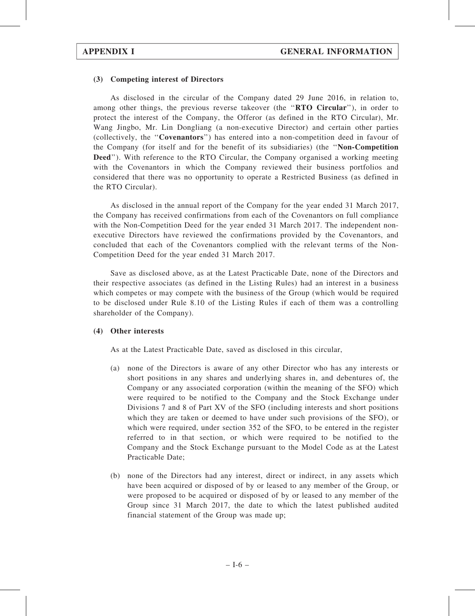#### (3) Competing interest of Directors

As disclosed in the circular of the Company dated 29 June 2016, in relation to, among other things, the previous reverse takeover (the "RTO Circular"), in order to protect the interest of the Company, the Offeror (as defined in the RTO Circular), Mr. Wang Jingbo, Mr. Lin Dongliang (a non-executive Director) and certain other parties (collectively, the ''Covenantors'') has entered into a non-competition deed in favour of the Company (for itself and for the benefit of its subsidiaries) (the ''Non-Competition Deed''). With reference to the RTO Circular, the Company organised a working meeting with the Covenantors in which the Company reviewed their business portfolios and considered that there was no opportunity to operate a Restricted Business (as defined in the RTO Circular).

As disclosed in the annual report of the Company for the year ended 31 March 2017, the Company has received confirmations from each of the Covenantors on full compliance with the Non-Competition Deed for the year ended 31 March 2017. The independent nonexecutive Directors have reviewed the confirmations provided by the Covenantors, and concluded that each of the Covenantors complied with the relevant terms of the Non-Competition Deed for the year ended 31 March 2017.

Save as disclosed above, as at the Latest Practicable Date, none of the Directors and their respective associates (as defined in the Listing Rules) had an interest in a business which competes or may compete with the business of the Group (which would be required to be disclosed under Rule 8.10 of the Listing Rules if each of them was a controlling shareholder of the Company).

#### (4) Other interests

As at the Latest Practicable Date, saved as disclosed in this circular,

- (a) none of the Directors is aware of any other Director who has any interests or short positions in any shares and underlying shares in, and debentures of, the Company or any associated corporation (within the meaning of the SFO) which were required to be notified to the Company and the Stock Exchange under Divisions 7 and 8 of Part XV of the SFO (including interests and short positions which they are taken or deemed to have under such provisions of the SFO), or which were required, under section 352 of the SFO, to be entered in the register referred to in that section, or which were required to be notified to the Company and the Stock Exchange pursuant to the Model Code as at the Latest Practicable Date;
- (b) none of the Directors had any interest, direct or indirect, in any assets which have been acquired or disposed of by or leased to any member of the Group, or were proposed to be acquired or disposed of by or leased to any member of the Group since 31 March 2017, the date to which the latest published audited financial statement of the Group was made up;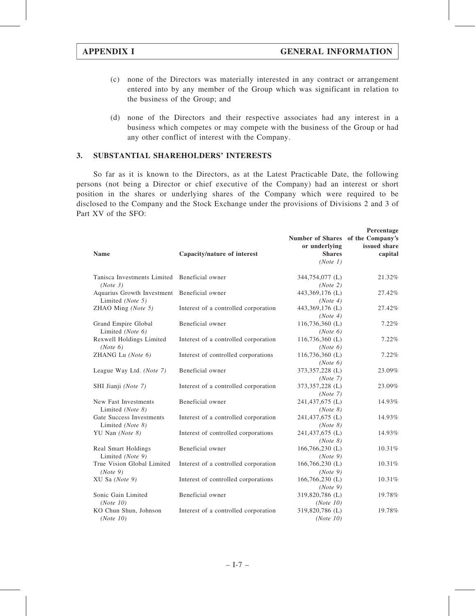- (c) none of the Directors was materially interested in any contract or arrangement entered into by any member of the Group which was significant in relation to the business of the Group; and
- (d) none of the Directors and their respective associates had any interest in a business which competes or may compete with the business of the Group or had any other conflict of interest with the Company.

#### 3. SUBSTANTIAL SHAREHOLDERS' INTERESTS

So far as it is known to the Directors, as at the Latest Practicable Date, the following persons (not being a Director or chief executive of the Company) had an interest or short position in the shares or underlying shares of the Company which were required to be disclosed to the Company and the Stock Exchange under the provisions of Divisions 2 and 3 of Part XV of the SFO:

|                                                                 |                                      |                                                    | Percentage   |
|-----------------------------------------------------------------|--------------------------------------|----------------------------------------------------|--------------|
|                                                                 |                                      | Number of Shares of the Company's<br>or underlying | issued share |
| <b>Name</b>                                                     | Capacity/nature of interest          | <b>Shares</b>                                      | capital      |
|                                                                 |                                      | (Note 1)                                           |              |
| Tanisca Investments Limited<br>(Note 3)                         | Beneficial owner                     | 344,754,077 (L)<br>(Note 2)                        | 21.32%       |
| Aquarius Growth Investment Beneficial owner<br>Limited (Note 5) |                                      | 443,369,176 (L)<br>(Note 4)                        | 27.42%       |
| ZHAO Ming (Note 5)                                              | Interest of a controlled corporation | 443,369,176 (L)<br>(Note 4)                        | 27.42%       |
| Grand Empire Global<br>Limited (Note 6)                         | Beneficial owner                     | 116,736,360 (L)<br>(Note 6)                        | 7.22%        |
| Rexwell Holdings Limited<br>(Note 6)                            | Interest of a controlled corporation | 116,736,360 (L)<br>(Note 6)                        | 7.22%        |
| ZHANG Lu (Note 6)                                               | Interest of controlled corporations  | 116,736,360 (L)<br>(Note 6)                        | 7.22%        |
| League Way Ltd. (Note 7)                                        | Beneficial owner                     | 373,357,228 (L)<br>(Note 7)                        | 23.09%       |
| SHI Jianji (Note 7)                                             | Interest of a controlled corporation | 373,357,228 (L)<br>(Note 7)                        | 23.09%       |
| New Fast Investments<br>Limited (Note 8)                        | Beneficial owner                     | 241,437,675 (L)<br>(Note 8)                        | 14.93%       |
| Gate Success Investments<br>Limited (Note 8)                    | Interest of a controlled corporation | 241,437,675 (L)<br>(Note 8)                        | 14.93%       |
| YU Nan (Note 8)                                                 | Interest of controlled corporations  | 241,437,675 (L)<br>(Note 8)                        | 14.93%       |
| Real Smart Holdings<br>Limited (Note 9)                         | Beneficial owner                     | $166,766,230$ (L)<br>(Note 9)                      | 10.31%       |
| True Vision Global Limited<br>(Note 9)                          | Interest of a controlled corporation | 166,766,230 (L)<br>(Note 9)                        | 10.31%       |
| XU Sa (Note 9)                                                  | Interest of controlled corporations  | $166,766,230$ (L)<br>(Note 9)                      | 10.31%       |
| Sonic Gain Limited<br>(Note 10)                                 | Beneficial owner                     | 319,820,786 (L)<br>(Note 10)                       | 19.78%       |
| KO Chun Shun, Johnson<br>(Note 10)                              | Interest of a controlled corporation | 319,820,786 (L)<br>(Note 10)                       | 19.78%       |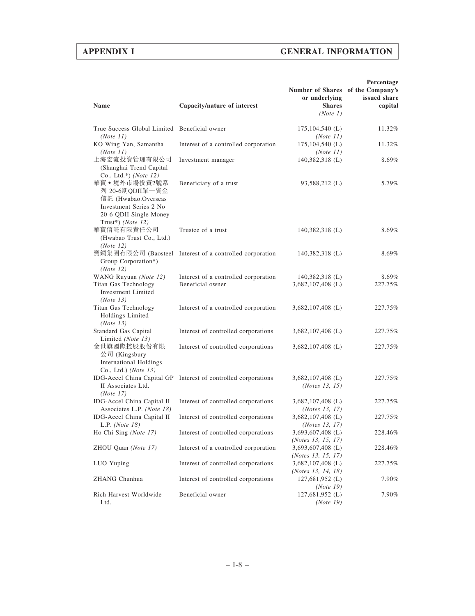#### APPENDIX I GENERAL INFORMATION

| <b>Name</b>                                                                                                                      | Capacity/nature of interest                                    | Number of Shares of the Company's<br>or underlying<br><b>Shares</b><br>(Note 1) | Percentage<br>issued share<br>capital |
|----------------------------------------------------------------------------------------------------------------------------------|----------------------------------------------------------------|---------------------------------------------------------------------------------|---------------------------------------|
| True Success Global Limited Beneficial owner<br>(Note 11)                                                                        |                                                                | $175, 104, 540$ (L)<br>(Note 11)                                                | 11.32%                                |
| KO Wing Yan, Samantha<br>(Note 11)                                                                                               | Interest of a controlled corporation                           | $175, 104, 540$ (L)<br>(Note 11)                                                | 11.32%                                |
| 上海宏流投資管理有限公司<br>(Shanghai Trend Capital<br>Co., Ltd.*) ( <i>Note</i> $12$ )                                                      | Investment manager                                             | 140,382,318 (L)                                                                 | 8.69%                                 |
| 華寶•境外市場投資2號系<br>列 20-6期QDII單一資金<br>信託 (Hwabao.Overseas<br>Investment Series 2 No.<br>20-6 QDII Single Money<br>Trust*) (Note 12) | Beneficiary of a trust                                         | 93,588,212 (L)                                                                  | 5.79%                                 |
| 華寶信託有限責任公司<br>(Hwabao Trust Co., Ltd.)<br>(Note 12)                                                                              | Trustee of a trust                                             | 140,382,318 (L)                                                                 | 8.69%                                 |
| Group Corporation*)<br>(Note 12)                                                                                                 | 寶鋼集團有限公司 (Baosteel Interest of a controlled corporation        | 140,382,318 (L)                                                                 | 8.69%                                 |
| WANG Ruyuan (Note 12)<br>Titan Gas Technology<br><b>Investment Limited</b><br>(Note 13)                                          | Interest of a controlled corporation<br>Beneficial owner       | $140,382,318$ (L)<br>3,682,107,408 (L)                                          | 8.69%<br>227.75%                      |
| Titan Gas Technology<br>Holdings Limited<br>(Note 13)                                                                            | Interest of a controlled corporation                           | 3,682,107,408 (L)                                                               | 227.75%                               |
| Standard Gas Capital<br>Limited (Note 13)                                                                                        | Interest of controlled corporations                            | $3,682,107,408$ (L)                                                             | 227.75%                               |
| 金世旗國際控股股份有限<br>公司 (Kingsbury<br><b>International Holdings</b><br>Co., Ltd.) (Note 13)                                            | Interest of controlled corporations                            | $3,682,107,408$ (L)                                                             | 227.75%                               |
| II Associates Ltd.<br>(Note 17)                                                                                                  | IDG-Accel China Capital GP Interest of controlled corporations | 3,682,107,408 (L)<br>( <i>Notes</i> 13, 15)                                     | 227.75%                               |
| IDG-Accel China Capital II<br>Associates L.P. (Note 18)                                                                          | Interest of controlled corporations                            | 3,682,107,408 (L)<br>( <i>Notes</i> 13, 17)                                     | 227.75%                               |
| IDG-Accel China Capital II<br>L.P. $(Note 18)$                                                                                   | Interest of controlled corporations                            | 3,682,107,408 (L)<br>( <i>Notes</i> 13, 17)                                     | 227.75%                               |
| Ho Chi Sing (Note 17)                                                                                                            | Interest of controlled corporations                            | 3,693,607,408 (L)<br>(Notes 13, 15, 17)                                         | 228.46%                               |
| ZHOU Quan (Note 17)                                                                                                              | Interest of a controlled corporation                           | 3,693,607,408 (L)                                                               | 228.46%                               |
| LUO Yuping                                                                                                                       | Interest of controlled corporations                            | (Notes 13, 15, 17)<br>3,682,107,408 (L)                                         | 227.75%                               |
| ZHANG Chunhua                                                                                                                    | Interest of controlled corporations                            | ( <i>Notes 13</i> , 14, 18)<br>127,681,952 (L)<br>(Note 19)                     | 7.90%                                 |
| Rich Harvest Worldwide<br>Ltd.                                                                                                   | Beneficial owner                                               | 127,681,952 (L)<br>(Note 19)                                                    | 7.90%                                 |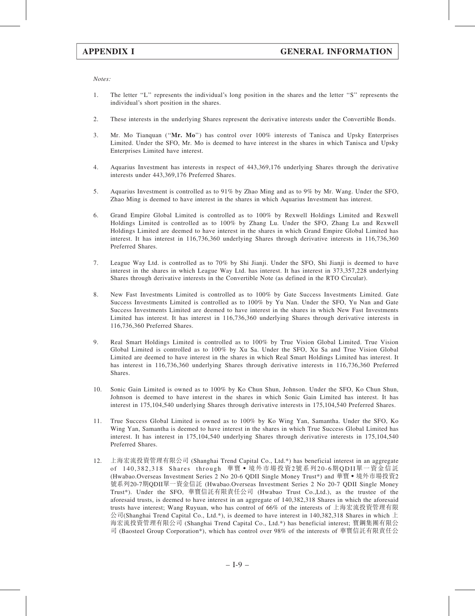Notes:

- 1. The letter ''L'' represents the individual's long position in the shares and the letter ''S'' represents the individual's short position in the shares.
- 2. These interests in the underlying Shares represent the derivative interests under the Convertible Bonds.
- 3. Mr. Mo Tianquan (''Mr. Mo'') has control over 100% interests of Tanisca and Upsky Enterprises Limited. Under the SFO, Mr. Mo is deemed to have interest in the shares in which Tanisca and Upsky Enterprises Limited have interest.
- 4. Aquarius Investment has interests in respect of 443,369,176 underlying Shares through the derivative interests under 443,369,176 Preferred Shares.
- 5. Aquarius Investment is controlled as to 91% by Zhao Ming and as to 9% by Mr. Wang. Under the SFO, Zhao Ming is deemed to have interest in the shares in which Aquarius Investment has interest.
- 6. Grand Empire Global Limited is controlled as to 100% by Rexwell Holdings Limited and Rexwell Holdings Limited is controlled as to 100% by Zhang Lu. Under the SFO, Zhang Lu and Rexwell Holdings Limited are deemed to have interest in the shares in which Grand Empire Global Limited has interest. It has interest in 116,736,360 underlying Shares through derivative interests in 116,736,360 Preferred Shares.
- 7. League Way Ltd. is controlled as to 70% by Shi Jianji. Under the SFO, Shi Jianji is deemed to have interest in the shares in which League Way Ltd. has interest. It has interest in 373,357,228 underlying Shares through derivative interests in the Convertible Note (as defined in the RTO Circular).
- 8. New Fast Investments Limited is controlled as to 100% by Gate Success Investments Limited. Gate Success Investments Limited is controlled as to 100% by Yu Nan. Under the SFO, Yu Nan and Gate Success Investments Limited are deemed to have interest in the shares in which New Fast Investments Limited has interest. It has interest in 116,736,360 underlying Shares through derivative interests in 116,736,360 Preferred Shares.
- 9. Real Smart Holdings Limited is controlled as to 100% by True Vision Global Limited. True Vision Global Limited is controlled as to 100% by Xu Sa. Under the SFO, Xu Sa and True Vision Global Limited are deemed to have interest in the shares in which Real Smart Holdings Limited has interest. It has interest in 116,736,360 underlying Shares through derivative interests in 116,736,360 Preferred Shares.
- 10. Sonic Gain Limited is owned as to 100% by Ko Chun Shun, Johnson. Under the SFO, Ko Chun Shun, Johnson is deemed to have interest in the shares in which Sonic Gain Limited has interest. It has interest in 175,104,540 underlying Shares through derivative interests in 175,104,540 Preferred Shares.
- 11. True Success Global Limited is owned as to 100% by Ko Wing Yan, Samantha. Under the SFO, Ko Wing Yan, Samantha is deemed to have interest in the shares in which True Success Global Limited has interest. It has interest in 175,104,540 underlying Shares through derivative interests in 175,104,540 Preferred Shares.
- 12. 上海宏流投資管理有限公司 (Shanghai Trend Capital Co., Ltd.\*) has beneficial interest in an aggregate of 140,382,318 Shares through 華寶‧境外市場投資2號系列20-6期QDII單一資金信託 (Hwabao.Overseas Investment Series 2 No 20-6 QDII Single Money Trust\*) and 華寶 • 境外市場投資2 號系列20-7期QDII單一資金信託 (Hwabao.Overseas Investment Series 2 No 20-7 QDII Single Money Trust\*). Under the SFO, 華寶信託有限責任公司 (Hwabao Trust Co.,Ltd.), as the trustee of the aforesaid trusts, is deemed to have interest in an aggregate of 140,382,318 Shares in which the aforesaid trusts have interest; Wang Ruyuan, who has control of 66% of the interests of 上海宏流投資管理有限 公司(Shanghai Trend Capital Co., Ltd.\*), is deemed to have interest in 140,382,318 Shares in which  $\pm$ 海宏流投資管理有限公司 (Shanghai Trend Capital Co., Ltd.\*) has beneficial interest; 寶鋼集團有限公 司 (Baosteel Group Corporation\*), which has control over 98% of the interests of 華寶信託有限責任公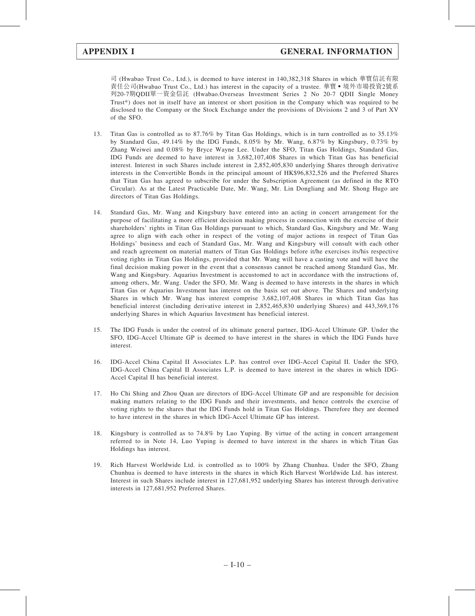司 (Hwabao Trust Co., Ltd.), is deemed to have interest in 140,382,318 Shares in which 華寶信託有限 責任公司(Hwabao Trust Co., Ltd.) has interest in the capacity of a trustee. 華寶 ● 境外市場投資2號系 列20-7期QDII單一資金信託 (Hwabao.Overseas Investment Series 2 No 20-7 QDII Single Money Trust\*) does not in itself have an interest or short position in the Company which was required to be disclosed to the Company or the Stock Exchange under the provisions of Divisions 2 and 3 of Part XV of the SFO.

- 13. Titan Gas is controlled as to 87.76% by Titan Gas Holdings, which is in turn controlled as to 35.13% by Standard Gas, 49.14% by the IDG Funds, 8.05% by Mr. Wang, 6.87% by Kingsbury, 0.73% by Zhang Weiwei and 0.08% by Bryce Wayne Lee. Under the SFO, Titan Gas Holdings, Standard Gas, IDG Funds are deemed to have interest in 3,682,107,408 Shares in which Titan Gas has beneficial interest. Interest in such Shares include interest in 2,852,405,830 underlying Shares through derivative interests in the Convertible Bonds in the principal amount of HK\$96,832,526 and the Preferred Shares that Titan Gas has agreed to subscribe for under the Subscription Agreement (as defined in the RTO Circular). As at the Latest Practicable Date, Mr. Wang, Mr. Lin Dongliang and Mr. Shong Hugo are directors of Titan Gas Holdings.
- 14. Standard Gas, Mr. Wang and Kingsbury have entered into an acting in concert arrangement for the purpose of facilitating a more efficient decision making process in connection with the exercise of their shareholders' rights in Titan Gas Holdings pursuant to which, Standard Gas, Kingsbury and Mr. Wang agree to align with each other in respect of the voting of major actions in respect of Titan Gas Holdings' business and each of Standard Gas, Mr. Wang and Kingsbury will consult with each other and reach agreement on material matters of Titan Gas Holdings before it/he exercises its/his respective voting rights in Titan Gas Holdings, provided that Mr. Wang will have a casting vote and will have the final decision making power in the event that a consensus cannot be reached among Standard Gas, Mr. Wang and Kingsbury. Aquarius Investment is accustomed to act in accordance with the instructions of, among others, Mr. Wang. Under the SFO, Mr. Wang is deemed to have interests in the shares in which Titan Gas or Aquarius Investment has interest on the basis set out above. The Shares and underlying Shares in which Mr. Wang has interest comprise 3,682,107,408 Shares in which Titan Gas has beneficial interest (including derivative interest in 2,852,465,830 underlying Shares) and 443,369,176 underlying Shares in which Aquarius Investment has beneficial interest.
- 15. The IDG Funds is under the control of its ultimate general partner, IDG-Accel Ultimate GP. Under the SFO, IDG-Accel Ultimate GP is deemed to have interest in the shares in which the IDG Funds have interest.
- 16. IDG-Accel China Capital II Associates L.P. has control over IDG-Accel Capital II. Under the SFO, IDG-Accel China Capital II Associates L.P. is deemed to have interest in the shares in which IDG-Accel Capital II has beneficial interest.
- 17. Ho Chi Shing and Zhou Quan are directors of IDG-Accel Ultimate GP and are responsible for decision making matters relating to the IDG Funds and their investments, and hence controls the exercise of voting rights to the shares that the IDG Funds hold in Titan Gas Holdings. Therefore they are deemed to have interest in the shares in which IDG-Accel Ultimate GP has interest.
- 18. Kingsbury is controlled as to 74.8% by Luo Yuping. By virtue of the acting in concert arrangement referred to in Note 14, Luo Yuping is deemed to have interest in the shares in which Titan Gas Holdings has interest.
- 19. Rich Harvest Worldwide Ltd. is controlled as to 100% by Zhang Chunhua. Under the SFO, Zhang Chunhua is deemed to have interests in the shares in which Rich Harvest Worldwide Ltd. has interest. Interest in such Shares include interest in 127,681,952 underlying Shares has interest through derivative interests in 127,681,952 Preferred Shares.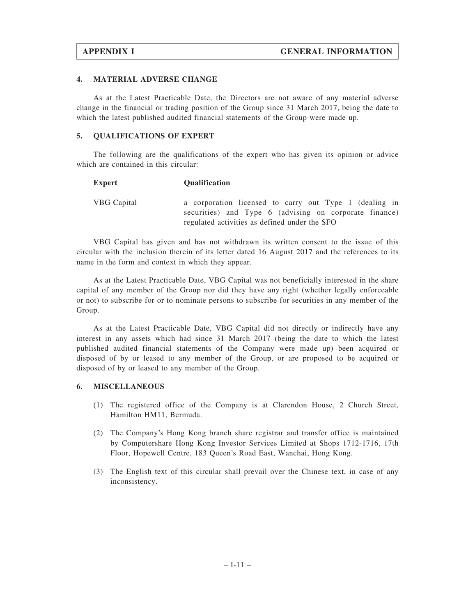#### 4. MATERIAL ADVERSE CHANGE

As at the Latest Practicable Date, the Directors are not aware of any material adverse change in the financial or trading position of the Group since 31 March 2017, being the date to which the latest published audited financial statements of the Group were made up.

#### 5. QUALIFICATIONS OF EXPERT

The following are the qualifications of the expert who has given its opinion or advice which are contained in this circular:

| <b>Expert</b>      | <b>Qualification</b>                                                                                             |  |  |
|--------------------|------------------------------------------------------------------------------------------------------------------|--|--|
| <b>VBG</b> Capital | a corporation licensed to carry out Type 1 (dealing in<br>securities) and Type 6 (advising on corporate finance) |  |  |
|                    | regulated activities as defined under the SFO                                                                    |  |  |

VBG Capital has given and has not withdrawn its written consent to the issue of this circular with the inclusion therein of its letter dated 16 August 2017 and the references to its name in the form and context in which they appear.

As at the Latest Practicable Date, VBG Capital was not beneficially interested in the share capital of any member of the Group nor did they have any right (whether legally enforceable or not) to subscribe for or to nominate persons to subscribe for securities in any member of the Group.

As at the Latest Practicable Date, VBG Capital did not directly or indirectly have any interest in any assets which had since 31 March 2017 (being the date to which the latest published audited financial statements of the Company were made up) been acquired or disposed of by or leased to any member of the Group, or are proposed to be acquired or disposed of by or leased to any member of the Group.

#### 6. MISCELLANEOUS

- (1) The registered office of the Company is at Clarendon House, 2 Church Street, Hamilton HM11, Bermuda.
- (2) The Company's Hong Kong branch share registrar and transfer office is maintained by Computershare Hong Kong Investor Services Limited at Shops 1712-1716, 17th Floor, Hopewell Centre, 183 Queen's Road East, Wanchai, Hong Kong.
- (3) The English text of this circular shall prevail over the Chinese text, in case of any inconsistency.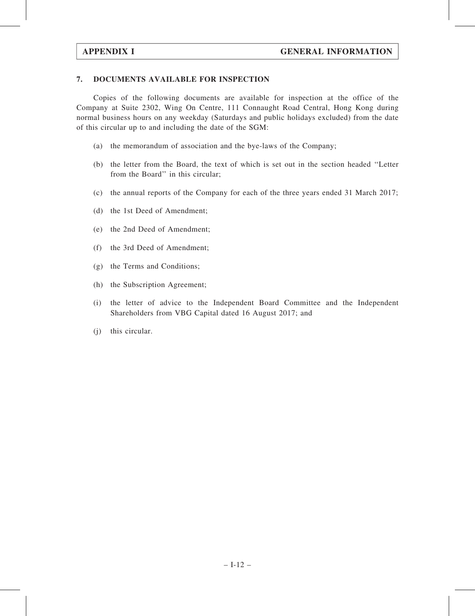#### 7. DOCUMENTS AVAILABLE FOR INSPECTION

Copies of the following documents are available for inspection at the office of the Company at Suite 2302, Wing On Centre, 111 Connaught Road Central, Hong Kong during normal business hours on any weekday (Saturdays and public holidays excluded) from the date of this circular up to and including the date of the SGM:

- (a) the memorandum of association and the bye-laws of the Company;
- (b) the letter from the Board, the text of which is set out in the section headed ''Letter from the Board'' in this circular;
- (c) the annual reports of the Company for each of the three years ended 31 March 2017;
- (d) the 1st Deed of Amendment;
- (e) the 2nd Deed of Amendment;
- (f) the 3rd Deed of Amendment;
- (g) the Terms and Conditions;
- (h) the Subscription Agreement;
- (i) the letter of advice to the Independent Board Committee and the Independent Shareholders from VBG Capital dated 16 August 2017; and
- (j) this circular.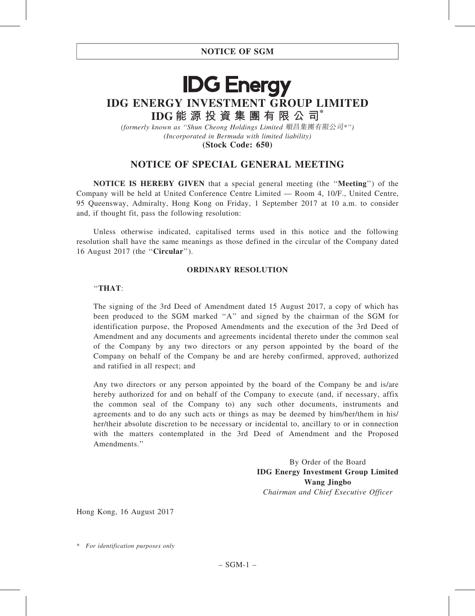# **IDG Energy** IDG ENERGY INVESTMENT GROUP LIMITED IDG 能 源 投 資 集 團 有 限 公 司\*

(formerly known as ''Shun Cheong Holdings Limited 順昌集團有限公司\*'') (Incorporated in Bermuda with limited liability) (Stock Code: 650)

### NOTICE OF SPECIAL GENERAL MEETING

NOTICE IS HEREBY GIVEN that a special general meeting (the ''Meeting'') of the Company will be held at United Conference Centre Limited — Room 4, 10/F., United Centre, 95 Queensway, Admiralty, Hong Kong on Friday, 1 September 2017 at 10 a.m. to consider and, if thought fit, pass the following resolution:

Unless otherwise indicated, capitalised terms used in this notice and the following resolution shall have the same meanings as those defined in the circular of the Company dated 16 August 2017 (the ''Circular'').

#### ORDINARY RESOLUTION

#### ''THAT:

The signing of the 3rd Deed of Amendment dated 15 August 2017, a copy of which has been produced to the SGM marked ''A'' and signed by the chairman of the SGM for identification purpose, the Proposed Amendments and the execution of the 3rd Deed of Amendment and any documents and agreements incidental thereto under the common seal of the Company by any two directors or any person appointed by the board of the Company on behalf of the Company be and are hereby confirmed, approved, authorized and ratified in all respect; and

Any two directors or any person appointed by the board of the Company be and is/are hereby authorized for and on behalf of the Company to execute (and, if necessary, affix the common seal of the Company to) any such other documents, instruments and agreements and to do any such acts or things as may be deemed by him/her/them in his/ her/their absolute discretion to be necessary or incidental to, ancillary to or in connection with the matters contemplated in the 3rd Deed of Amendment and the Proposed Amendments.''

> By Order of the Board IDG Energy Investment Group Limited Wang Jingbo Chairman and Chief Executive Officer

Hong Kong, 16 August 2017

<sup>\*</sup> For identification purposes only